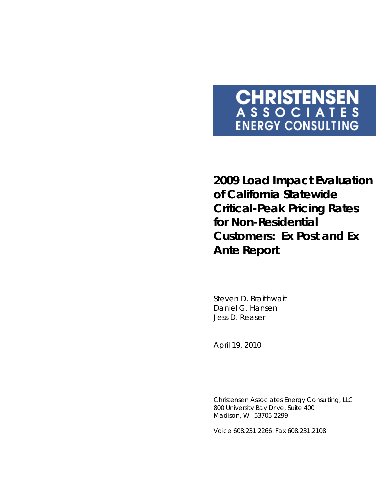# **CHRISTENSEN**<br>ASSOCIATES **ENERGY CONSULTING**

**2009 Load Impact Evaluation of California Statewide Critical-Peak Pricing Rates for Non-Residential Customers: Ex Post and Ex Ante Report** 

Steven D. Braithwait Daniel G. Hansen Jess D. Reaser

*April 19, 2010* 

Christensen Associates Energy Consulting, LLC 800 University Bay Drive, Suite 400 Madison, WI 53705-2299

Voice 608.231.2266 Fax 608.231.2108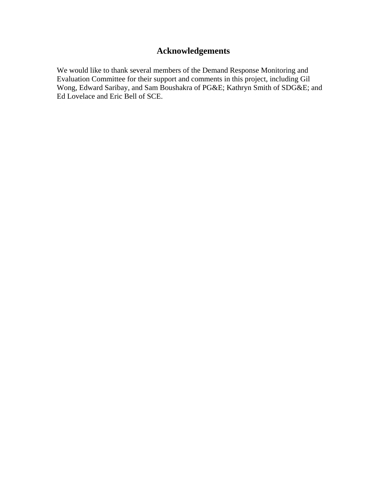# **Acknowledgements**

We would like to thank several members of the Demand Response Monitoring and Evaluation Committee for their support and comments in this project, including Gil Wong, Edward Saribay, and Sam Boushakra of PG&E; Kathryn Smith of SDG&E; and Ed Lovelace and Eric Bell of SCE.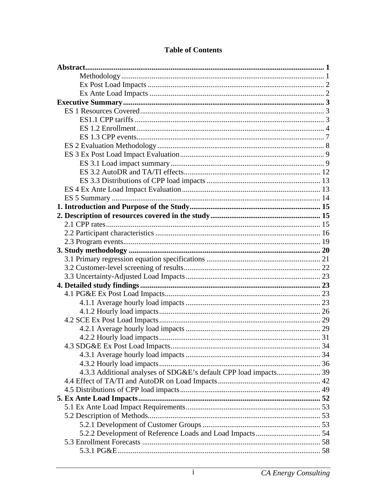| 4.3.3 Additional analyses of SDG&E's default CPP load impacts 39 |  |
|------------------------------------------------------------------|--|
|                                                                  |  |
|                                                                  |  |
|                                                                  |  |
|                                                                  |  |
|                                                                  |  |
|                                                                  |  |
|                                                                  |  |
|                                                                  |  |
|                                                                  |  |

## **Table of Contents**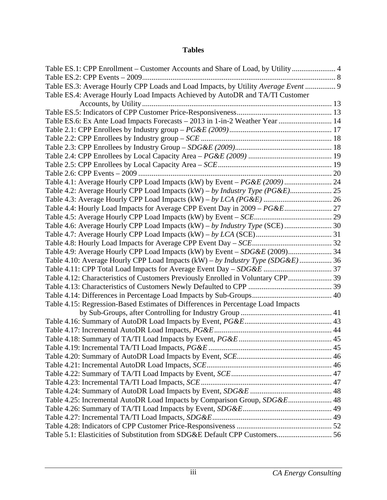## **Tables**

| Table ES.1: CPP Enrollment – Customer Accounts and Share of Load, by Utility 4     |  |
|------------------------------------------------------------------------------------|--|
|                                                                                    |  |
| Table ES.3: Average Hourly CPP Loads and Load Impacts, by Utility Average Event  9 |  |
| Table ES.4: Average Hourly Load Impacts Achieved by AutoDR and TA/TI Customer      |  |
|                                                                                    |  |
|                                                                                    |  |
| Table ES.6: Ex Ante Load Impacts Forecasts – 2013 in 1-in-2 Weather Year  14       |  |
|                                                                                    |  |
|                                                                                    |  |
|                                                                                    |  |
|                                                                                    |  |
|                                                                                    |  |
|                                                                                    |  |
| Table 4.1: Average Hourly CPP Load Impacts (kW) by Event - PG&E (2009)  24         |  |
| Table 4.2: Average Hourly CPP Load Impacts (kW) - by Industry Type (PG&E) 25       |  |
|                                                                                    |  |
| Table 4.4: Hourly Load Impacts for Average CPP Event Day in 2009 - PG&E 27         |  |
|                                                                                    |  |
| Table 4.6: Average Hourly CPP Load Impacts (kW) - by Industry Type (SCE)  30       |  |
|                                                                                    |  |
|                                                                                    |  |
|                                                                                    |  |
| Table 4.10: Average Hourly CPP Load Impacts (kW) - by Industry Type (SDG&E)  36    |  |
|                                                                                    |  |
| Table 4.12: Characteristics of Customers Previously Enrolled in Voluntary CPP 39   |  |
|                                                                                    |  |
|                                                                                    |  |
| Table 4.15: Regression-Based Estimates of Differences in Percentage Load Impacts   |  |
|                                                                                    |  |
|                                                                                    |  |
|                                                                                    |  |
|                                                                                    |  |
|                                                                                    |  |
|                                                                                    |  |
|                                                                                    |  |
|                                                                                    |  |
|                                                                                    |  |
|                                                                                    |  |
| Table 4.25: Incremental AutoDR Load Impacts by Comparison Group, SDG&E 48          |  |
|                                                                                    |  |
|                                                                                    |  |
|                                                                                    |  |
| Table 5.1: Elasticities of Substitution from SDG&E Default CPP Customers 56        |  |
|                                                                                    |  |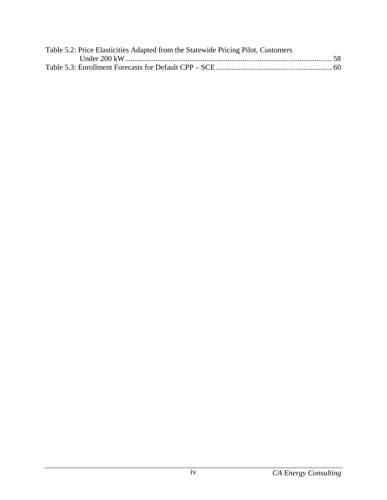| Table 5.2: Price Elasticities Adapted from the Statewide Pricing Pilot, Customers |  |
|-----------------------------------------------------------------------------------|--|
|                                                                                   |  |
|                                                                                   |  |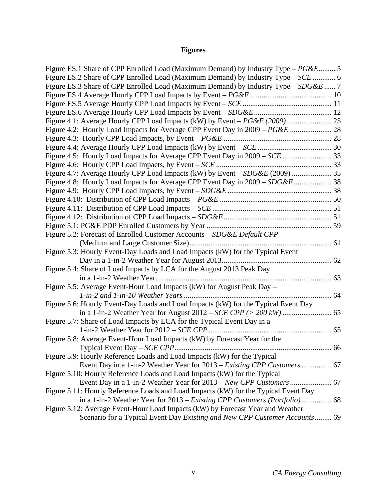# **Figures**

| Figure ES.1 Share of CPP Enrolled Load (Maximum Demand) by Industry Type – PG&E 5   |  |
|-------------------------------------------------------------------------------------|--|
| Figure ES.2 Share of CPP Enrolled Load (Maximum Demand) by Industry Type – SCE  6   |  |
| Figure ES.3 Share of CPP Enrolled Load (Maximum Demand) by Industry Type – SDG&E  7 |  |
|                                                                                     |  |
|                                                                                     |  |
|                                                                                     |  |
|                                                                                     |  |
| Figure 4.2: Hourly Load Impacts for Average CPP Event Day in 2009 - PG&E  28        |  |
|                                                                                     |  |
|                                                                                     |  |
| Figure 4.5: Hourly Load Impacts for Average CPP Event Day in 2009 - SCE  33         |  |
|                                                                                     |  |
| Figure 4.7: Average Hourly CPP Load Impacts (kW) by Event - SDG&E (2009)  35        |  |
|                                                                                     |  |
|                                                                                     |  |
|                                                                                     |  |
|                                                                                     |  |
|                                                                                     |  |
|                                                                                     |  |
| Figure 5.2: Forecast of Enrolled Customer Accounts - SDG&E Default CPP              |  |
|                                                                                     |  |
| Figure 5.3: Hourly Event-Day Loads and Load Impacts (kW) for the Typical Event      |  |
|                                                                                     |  |
| Figure 5.4: Share of Load Impacts by LCA for the August 2013 Peak Day               |  |
|                                                                                     |  |
| Figure 5.5: Average Event-Hour Load Impacts (kW) for August Peak Day -              |  |
|                                                                                     |  |
| Figure 5.6: Hourly Event-Day Loads and Load Impacts (kW) for the Typical Event Day  |  |
|                                                                                     |  |
| Figure 5.7: Share of Load Impacts by LCA for the Typical Event Day in a             |  |
|                                                                                     |  |
| Figure 5.8: Average Event-Hour Load Impacts (kW) by Forecast Year for the           |  |
|                                                                                     |  |
| Figure 5.9: Hourly Reference Loads and Load Impacts (kW) for the Typical            |  |
| Event Day in a 1-in-2 Weather Year for 2013 – Existing CPP Customers  67            |  |
| Figure 5.10: Hourly Reference Loads and Load Impacts (kW) for the Typical           |  |
|                                                                                     |  |
| Figure 5.11: Hourly Reference Loads and Load Impacts (kW) for the Typical Event Day |  |
|                                                                                     |  |
| Figure 5.12: Average Event-Hour Load Impacts (kW) by Forecast Year and Weather      |  |
| Scenario for a Typical Event Day Existing and New CPP Customer Accounts 69          |  |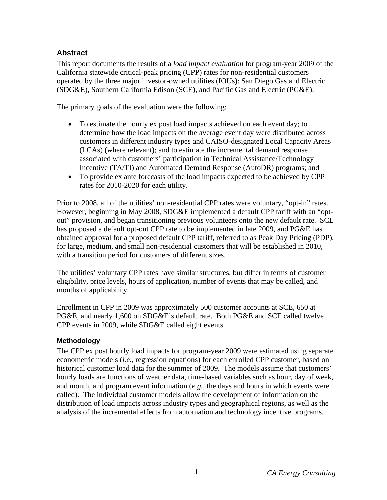## <span id="page-7-0"></span>**Abstract**

This report documents the results of a *load impact evaluation* for program-year 2009 of the California statewide critical-peak pricing (CPP) rates for non-residential customers operated by the three major investor-owned utilities (IOUs): San Diego Gas and Electric (SDG&E), Southern California Edison (SCE), and Pacific Gas and Electric (PG&E).

The primary goals of the evaluation were the following:

- To estimate the hourly ex post load impacts achieved on each event day; to determine how the load impacts on the average event day were distributed across customers in different industry types and CAISO-designated Local Capacity Areas (LCAs) (where relevant); and to estimate the incremental demand response associated with customers' participation in Technical Assistance/Technology Incentive (TA/TI) and Automated Demand Response (AutoDR) programs; and
- To provide ex ante forecasts of the load impacts expected to be achieved by CPP rates for 2010-2020 for each utility.

Prior to 2008, all of the utilities' non-residential CPP rates were voluntary, "opt-in" rates. However, beginning in May 2008, SDG&E implemented a default CPP tariff with an "optout" provision, and began transitioning previous volunteers onto the new default rate. SCE has proposed a default opt-out CPP rate to be implemented in late 2009, and PG&E has obtained approval for a proposed default CPP tariff, referred to as Peak Day Pricing (PDP), for large, medium, and small non-residential customers that will be established in 2010, with a transition period for customers of different sizes.

The utilities' voluntary CPP rates have similar structures, but differ in terms of customer eligibility, price levels, hours of application, number of events that may be called, and months of applicability.

Enrollment in CPP in 2009 was approximately 500 customer accounts at SCE, 650 at PG&E, and nearly 1,600 on SDG&E's default rate. Both PG&E and SCE called twelve CPP events in 2009, while SDG&E called eight events.

## **Methodology**

The CPP ex post hourly load impacts for program-year 2009 were estimated using separate econometric models (*i.e.*, regression equations) for each enrolled CPP customer, based on historical customer load data for the summer of 2009. The models assume that customers' hourly loads are functions of weather data, time-based variables such as hour, day of week, and month, and program event information (*e.g.*, the days and hours in which events were called). The individual customer models allow the development of information on the distribution of load impacts across industry types and geographical regions, as well as the analysis of the incremental effects from automation and technology incentive programs.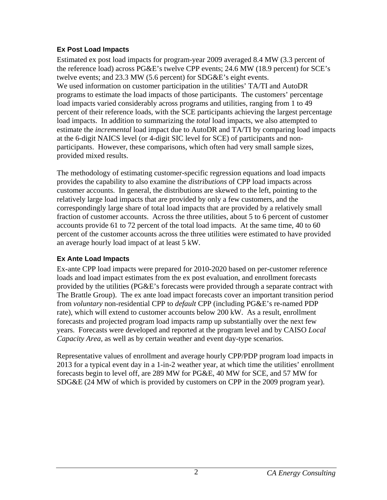## <span id="page-8-0"></span>**Ex Post Load Impacts**

Estimated ex post load impacts for program-year 2009 averaged 8.4 MW (3.3 percent of the reference load) across PG&E's twelve CPP events; 24.6 MW (18.9 percent) for SCE's twelve events; and 23.3 MW (5.6 percent) for SDG&E's eight events. We used information on customer participation in the utilities' TA/TI and AutoDR programs to estimate the load impacts of those participants. The customers' percentage load impacts varied considerably across programs and utilities, ranging from 1 to 49 percent of their reference loads, with the SCE participants achieving the largest percentage load impacts. In addition to summarizing the *total* load impacts, we also attempted to estimate the *incremental* load impact due to AutoDR and TA/TI by comparing load impacts at the 6-digit NAICS level (or 4-digit SIC level for SCE) of participants and nonparticipants. However, these comparisons, which often had very small sample sizes, provided mixed results.

The methodology of estimating customer-specific regression equations and load impacts provides the capability to also examine the *distributions* of CPP load impacts across customer accounts. In general, the distributions are skewed to the left, pointing to the relatively large load impacts that are provided by only a few customers, and the correspondingly large share of total load impacts that are provided by a relatively small fraction of customer accounts. Across the three utilities, about 5 to 6 percent of customer accounts provide 61 to 72 percent of the total load impacts. At the same time, 40 to 60 percent of the customer accounts across the three utilities were estimated to have provided an average hourly load impact of at least 5 kW.

## **Ex Ante Load Impacts**

Ex-ante CPP load impacts were prepared for 2010-2020 based on per-customer reference loads and load impact estimates from the ex post evaluation, and enrollment forecasts provided by the utilities (PG&E's forecasts were provided through a separate contract with The Brattle Group). The ex ante load impact forecasts cover an important transition period from *voluntary* non-residential CPP to *default* CPP (including PG&E's re-named PDP rate), which will extend to customer accounts below 200 kW. As a result, enrollment forecasts and projected program load impacts ramp up substantially over the next few years. Forecasts were developed and reported at the program level and by CAISO *Local Capacity Area*, as well as by certain weather and event day-type scenarios.

Representative values of enrollment and average hourly CPP/PDP program load impacts in 2013 for a typical event day in a 1-in-2 weather year, at which time the utilities' enrollment forecasts begin to level off, are 289 MW for PG&E, 40 MW for SCE, and 57 MW for SDG&E (24 MW of which is provided by customers on CPP in the 2009 program year).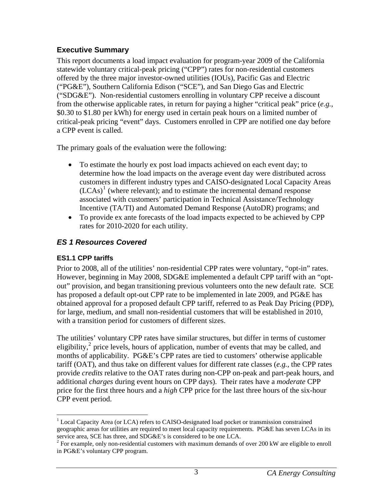# <span id="page-9-0"></span>**Executive Summary**

This report documents a load impact evaluation for program-year 2009 of the California statewide voluntary critical-peak pricing ("CPP") rates for non-residential customers offered by the three major investor-owned utilities (IOUs), Pacific Gas and Electric ("PG&E"), Southern California Edison ("SCE"), and San Diego Gas and Electric ("SDG&E"). Non-residential customers enrolling in voluntary CPP receive a discount from the otherwise applicable rates, in return for paying a higher "critical peak" price (*e.g.*, \$0.30 to \$1.80 per kWh) for energy used in certain peak hours on a limited number of critical-peak pricing "event" days. Customers enrolled in CPP are notified one day before a CPP event is called.

The primary goals of the evaluation were the following:

- To estimate the hourly ex post load impacts achieved on each event day; to determine how the load impacts on the average event day were distributed across customers in different industry types and CAISO-designated Local Capacity Areas  $(LCAs)^{1}$  $(LCAs)^{1}$  $(LCAs)^{1}$  (where relevant); and to estimate the incremental demand response associated with customers' participation in Technical Assistance/Technology Incentive (TA/TI) and Automated Demand Response (AutoDR) programs; and
- To provide ex ante forecasts of the load impacts expected to be achieved by CPP rates for 2010-2020 for each utility.

# *ES 1 Resources Covered*

# **ES1.1 CPP tariffs**

Prior to 2008, all of the utilities' non-residential CPP rates were voluntary, "opt-in" rates. However, beginning in May 2008, SDG&E implemented a default CPP tariff with an "optout" provision, and began transitioning previous volunteers onto the new default rate. SCE has proposed a default opt-out CPP rate to be implemented in late 2009, and PG&E has obtained approval for a proposed default CPP tariff, referred to as Peak Day Pricing (PDP), for large, medium, and small non-residential customers that will be established in 2010, with a transition period for customers of different sizes.

The utilities' voluntary CPP rates have similar structures, but differ in terms of customer eligibility, $\frac{1}{2}$  $\frac{1}{2}$  $\frac{1}{2}$  price levels, hours of application, number of events that may be called, and months of applicability. PG&E's CPP rates are tied to customers' otherwise applicable tariff (OAT), and thus take on different values for different rate classes (*e.g.*, the CPP rates provide *credits* relative to the OAT rates during non-CPP on-peak and part-peak hours, and additional *charges* during event hours on CPP days). Their rates have a *moderate* CPP price for the first three hours and a *high* CPP price for the last three hours of the six-hour CPP event period.

<span id="page-9-1"></span> $\overline{a}$ <sup>1</sup> Local Capacity Area (or LCA) refers to CAISO-designated load pocket or transmission constrained geographic areas for utilities are required to meet local capacity requirements. PG&E has seven LCAs in its service area, SCE has three, and SDG&E's is considered to be one LCA.

<span id="page-9-2"></span> $2^{2}$  For example, only non-residential customers with maximum demands of over 200 kW are eligible to enroll in PG&E's voluntary CPP program.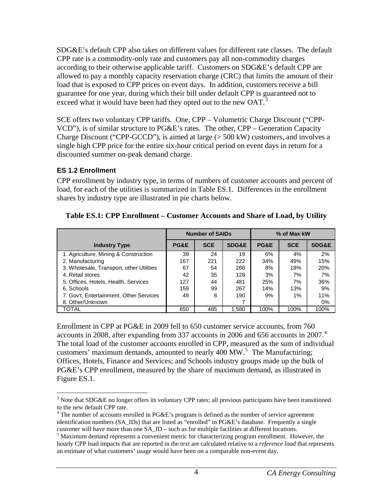<span id="page-10-0"></span>SDG&E's default CPP also takes on different values for different rate classes. The default CPP rate is a commodity-only rate and customers pay all non-commodity charges according to their otherwise applicable tariff. Customers on SDG&E's default CPP are allowed to pay a monthly capacity reservation charge (CRC) that limits the amount of their load that is exposed to CPP prices on event days. In addition, customers receive a bill guarantee for one year, during which their bill under default CPP is guaranteed not to exceed what it would have been had they opted out to the new  $OAT<sup>3</sup>$  $OAT<sup>3</sup>$  $OAT<sup>3</sup>$ 

SCE offers two voluntary CPP tariffs. One, CPP – Volumetric Charge Discount ("CPP-VCD"), is of similar structure to PG&E's rates. The other, CPP – Generation Capacity Charge Discount ("CPP-GCCD"), is aimed at large  $(> 500 \text{ kW})$  customers, and involves a single high CPP price for the entire six-hour critical period on event days in return for a discounted summer on-peak demand charge.

## **ES 1.2 Enrollment**

CPP enrollment by industry type, in terms of numbers of customer accounts and percent of load, for each of the utilities is summarized in Table ES.1. Differences in the enrollment shares by industry type are illustrated in pie charts below.

|                                          | <b>Number of SAIDs</b> |            |                  | % of Max kW |            |                  |
|------------------------------------------|------------------------|------------|------------------|-------------|------------|------------------|
| <b>Industry Type</b>                     | PG&E                   | <b>SCE</b> | <b>SDG&amp;E</b> | PG&E        | <b>SCE</b> | <b>SDG&amp;E</b> |
| 1. Agriculture, Mining & Construction    | 39                     | 24         | 19               | 6%          | 4%         | 2%               |
| 2. Manufacturing                         | 167                    | 221        | 222              | 34%         | 49%        | 15%              |
| 3. Wholesale, Transport, other Utilities | 67                     | 54         | 266              | 8%          | 18%        | 20%              |
| 4. Retail stores                         | 42                     | 35         | 128              | 3%          | 7%         | 7%               |
| 5. Offices, Hotels, Health, Services     | 127                    | 44         | 481              | 25%         | 7%         | 36%              |
| 6. Schools                               | 159                    | 99         | 267              | 14%         | 13%        | 9%               |
| 7. Gov't, Entertainment, Other Services  | 49                     | 8          | 190              | 9%          | 1%         | 11%              |
| 8. Other/Unknown                         |                        |            |                  |             |            | 0%               |
| TOTAL                                    | 650                    | 485        | 1.580            | 100%        | 100%       | 100%             |

**Table ES.1: CPP Enrollment – Customer Accounts and Share of Load, by Utility** 

Enrollment in CPP at PG&E in 2009 fell to 650 customer service accounts, from 760 accounts in 2008, after expanding from 337 accounts in 2006 and 656 accounts in 2007.<sup>[4](#page-10-2)</sup> The total load of the customer accounts enrolled in CPP, measured as the sum of individual customers' maximum demands, amounted to nearly 400 MW.<sup>[5](#page-10-3)</sup> The Manufacturing; Offices, Hotels, Finance and Services; and Schools industry groups made up the bulk of PG&E's CPP enrollment, measured by the share of maximum demand, as illustrated in Figure ES.1.

<span id="page-10-1"></span> $\overline{a}$  $3$  Note that SDG&E no longer offers its voluntary CPP rates; all previous participants have been transitioned to the new default CPP rate.

<span id="page-10-2"></span> $4$  The number of accounts enrolled in PG&E's program is defined as the number of service agreement identification numbers (SA\_IDs) that are listed as "enrolled" in PG&E's database. Frequently a single customer will have more than one SA\_ID – such as for multiple facilities at different locations.

<span id="page-10-3"></span><sup>&</sup>lt;sup>5</sup> Maximum demand represents a convenient metric for characterizing program enrollment. However, the hourly CPP load impacts that are reported in the text are calculated relative to a *reference load* that represents an estimate of what customers' usage would have been on a comparable non-event day.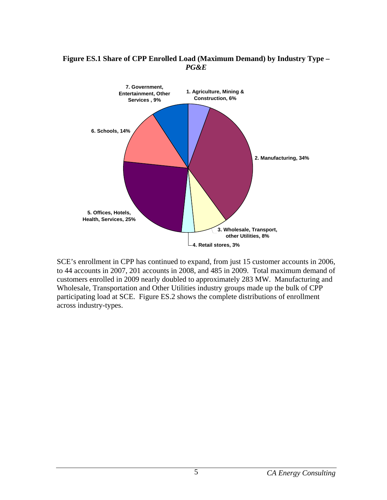

#### <span id="page-11-0"></span>**Figure ES.1 Share of CPP Enrolled Load (Maximum Demand) by Industry Type –**  *PG&E*

SCE's enrollment in CPP has continued to expand, from just 15 customer accounts in 2006, to 44 accounts in 2007, 201 accounts in 2008, and 485 in 2009. Total maximum demand of customers enrolled in 2009 nearly doubled to approximately 283 MW. Manufacturing and Wholesale, Transportation and Other Utilities industry groups made up the bulk of CPP participating load at SCE. Figure ES.2 shows the complete distributions of enrollment across industry-types.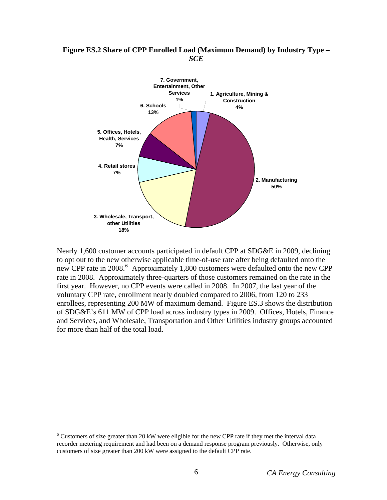#### <span id="page-12-0"></span>**Figure ES.2 Share of CPP Enrolled Load (Maximum Demand) by Industry Type –**  *SCE*



Nearly 1,600 customer accounts participated in default CPP at SDG&E in 2009, declining to opt out to the new otherwise applicable time-of-use rate after being defaulted onto the new CPP rate in 2008.<sup>[6](#page-12-1)</sup> Approximately 1,800 customers were defaulted onto the new CPP rate in 2008. Approximately three-quarters of those customers remained on the rate in the first year. However, no CPP events were called in 2008. In 2007, the last year of the voluntary CPP rate, enrollment nearly doubled compared to 2006, from 120 to 233 enrollees, representing 200 MW of maximum demand. Figure ES.3 shows the distribution of SDG&E's 611 MW of CPP load across industry types in 2009. Offices, Hotels, Finance and Services, and Wholesale, Transportation and Other Utilities industry groups accounted for more than half of the total load.

1

<span id="page-12-1"></span> $6$  Customers of size greater than 20 kW were eligible for the new CPP rate if they met the interval data recorder metering requirement and had been on a demand response program previously. Otherwise, only customers of size greater than 200 kW were assigned to the default CPP rate.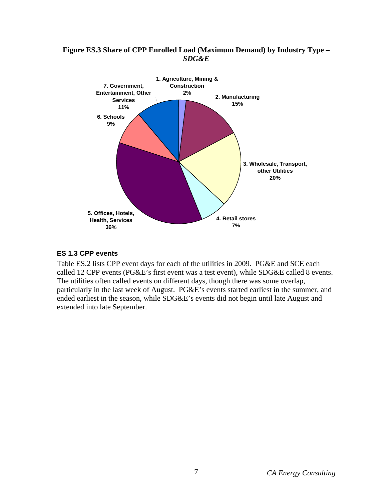#### <span id="page-13-0"></span>**Figure ES.3 Share of CPP Enrolled Load (Maximum Demand) by Industry Type –**  *SDG&E*



## **ES 1.3 CPP events**

Table ES.2 lists CPP event days for each of the utilities in 2009. PG&E and SCE each called 12 CPP events (PG&E's first event was a test event), while SDG&E called 8 events. The utilities often called events on different days, though there was some overlap, particularly in the last week of August. PG&E's events started earliest in the summer, and ended earliest in the season, while SDG&E's events did not begin until late August and extended into late September.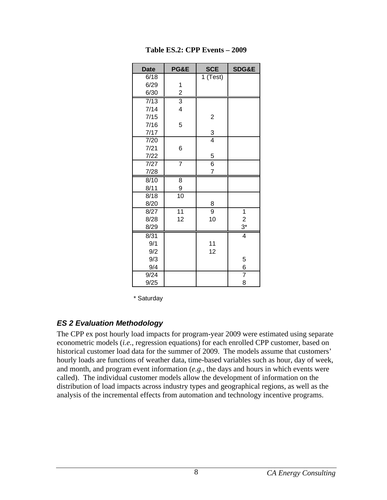<span id="page-14-0"></span>

| <b>Date</b>   | PG&E                    | <b>SCE</b>              | SDG&E                   |
|---------------|-------------------------|-------------------------|-------------------------|
| 6/18          |                         | 1 (Test)                |                         |
| 6/29          | 1                       |                         |                         |
| 6/30          | $\overline{\mathbf{c}}$ |                         |                         |
| $\sqrt{7/13}$ | $\overline{3}$          |                         |                         |
| 7/14          | 4                       |                         |                         |
| 7/15          |                         | $\overline{\mathbf{c}}$ |                         |
| 7/16          | 5                       |                         |                         |
| 7/17          |                         | $\frac{3}{4}$           |                         |
| 7/20          |                         |                         |                         |
| 7/21          | 6                       |                         |                         |
| 7/22          |                         | $\overline{5}$          |                         |
| 7/27          | $\overline{7}$          | $\overline{6}$          |                         |
| 7/28          |                         | 7                       |                         |
| 8/10          | 8                       |                         |                         |
| 8/11          | 9                       |                         |                         |
| 8/18          | 10                      |                         |                         |
| 8/20          |                         | 8                       |                         |
| 8/27          | $\overline{11}$         | $\overline{9}$          | 1                       |
| 8/28          | 12                      | 10                      | $\overline{\mathbf{c}}$ |
| 8/29          |                         |                         | $3^*$                   |
| 8/31          |                         |                         | $\overline{4}$          |
| 9/1           |                         | 11                      |                         |
| 9/2           |                         | 12                      |                         |
| 9/3           |                         |                         | 5                       |
| 9/4           |                         |                         | $6 \overline{}$         |
| 9/24          |                         |                         | $\overline{7}$          |
| 9/25          |                         |                         | 8                       |

**Table ES.2: CPP Events – 2009** 

\* Saturday

## *ES 2 Evaluation Methodology*

The CPP ex post hourly load impacts for program-year 2009 were estimated using separate econometric models (*i.e.*, regression equations) for each enrolled CPP customer, based on historical customer load data for the summer of 2009. The models assume that customers' hourly loads are functions of weather data, time-based variables such as hour, day of week, and month, and program event information (*e.g.*, the days and hours in which events were called). The individual customer models allow the development of information on the distribution of load impacts across industry types and geographical regions, as well as the analysis of the incremental effects from automation and technology incentive programs.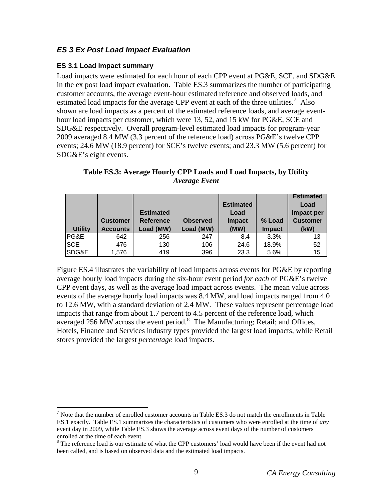# <span id="page-15-0"></span>*ES 3 Ex Post Load Impact Evaluation*

## **ES 3.1 Load impact summary**

 $\overline{a}$ 

Load impacts were estimated for each hour of each CPP event at PG&E, SCE, and SDG&E in the ex post load impact evaluation. Table ES.3 summarizes the number of participating customer accounts, the average event-hour estimated reference and observed loads, and estimated load impacts for the average CPP event at each of the three utilities.<sup>[7](#page-15-1)</sup> Also shown are load impacts as a percent of the estimated reference loads, and average eventhour load impacts per customer, which were 13, 52, and 15 kW for PG&E, SCE and SDG&E respectively. Overall program-level estimated load impacts for program-year 2009 averaged 8.4 MW (3.3 percent of the reference load) across PG&E's twelve CPP events; 24.6 MW (18.9 percent) for SCE's twelve events; and 23.3 MW (5.6 percent) for SDG&E's eight events.

|                |                 |                  |                 |                  |               | <b>Estimated</b> |
|----------------|-----------------|------------------|-----------------|------------------|---------------|------------------|
|                |                 |                  |                 | <b>Estimated</b> |               | Load             |
|                |                 | <b>Estimated</b> |                 | Load             |               | Impact per       |
|                | <b>Customer</b> | <b>Reference</b> | <b>Observed</b> | <b>Impact</b>    | % Load        | <b>Customer</b>  |
| <b>Utility</b> | <b>Accounts</b> | Load (MW)        | Load (MW)       | (MW)             | <b>Impact</b> | (kW)             |
| PG&E           | 642             | 256              | 247             | 8.4              | 3.3%          | 13               |
| <b>SCE</b>     | 476             | 130              | 106             | 24.6             | 18.9%         | 52               |
| SDG&E          | 1,576           | 419              | 396             | 23.3             | 5.6%          | 15               |

**Table ES.3: Average Hourly CPP Loads and Load Impacts, by Utility**  *Average Event*

Figure ES.4 illustrates the variability of load impacts across events for PG&E by reporting average hourly load impacts during the six-hour event period *for each* of PG&E's twelve CPP event days, as well as the average load impact across events. The mean value across events of the average hourly load impacts was 8.4 MW, and load impacts ranged from 4.0 to 12.6 MW, with a standard deviation of 2.4 MW. These values represent percentage load impacts that range from about 1.7 percent to 4.5 percent of the reference load, which averaged 256 MW across the event period. $8\,$  $8\,$  The Manufacturing; Retail; and Offices, Hotels, Finance and Services industry types provided the largest load impacts, while Retail stores provided the largest *percentage* load impacts.

<span id="page-15-1"></span><sup>&</sup>lt;sup>7</sup> Note that the number of enrolled customer accounts in Table ES.3 do not match the enrollments in Table ES.1 exactly. Table ES.1 summarizes the characteristics of customers who were enrolled at the time of *any* event day in 2009, while Table ES.3 shows the average across event days of the number of customers enrolled at the time of each event.

<span id="page-15-2"></span><sup>&</sup>lt;sup>8</sup> The reference load is our estimate of what the CPP customers' load would have been if the event had not been called, and is based on observed data and the estimated load impacts.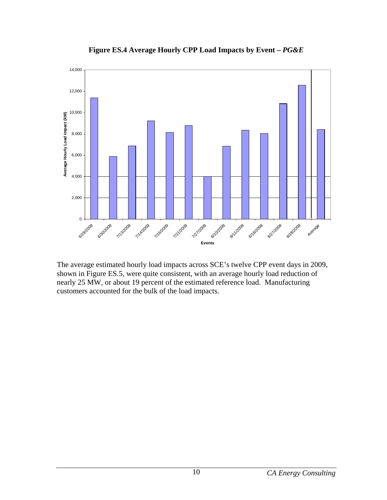<span id="page-16-0"></span>

**Figure ES.4 Average Hourly CPP Load Impacts by Event –** *PG&E*

The average estimated hourly load impacts across SCE's twelve CPP event days in 2009, shown in Figure ES.5, were quite consistent, with an average hourly load reduction of nearly 25 MW, or about 19 percent of the estimated reference load. Manufacturing customers accounted for the bulk of the load impacts.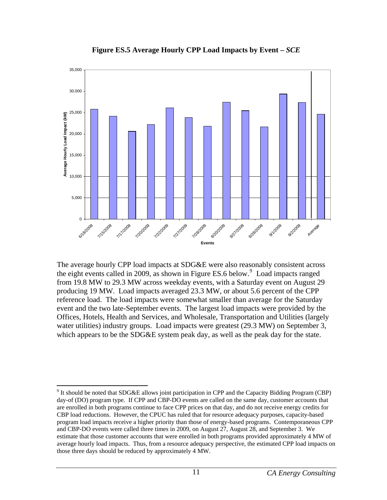<span id="page-17-0"></span>

**Figure ES.5 Average Hourly CPP Load Impacts by Event –** *SCE*

The average hourly CPP load impacts at SDG&E were also reasonably consistent across the eight events called in 200[9](#page-17-1), as shown in Figure ES.6 below.<sup>9</sup> Load impacts ranged from 19.8 MW to 29.3 MW across weekday events, with a Saturday event on August 29 producing 19 MW. Load impacts averaged 23.3 MW, or about 5.6 percent of the CPP reference load. The load impacts were somewhat smaller than average for the Saturday event and the two late-September events. The largest load impacts were provided by the Offices, Hotels, Health and Services, and Wholesale, Transportation and Utilities (largely water utilities) industry groups. Load impacts were greatest (29.3 MW) on September 3, which appears to be the SDG&E system peak day, as well as the peak day for the state.

 $\overline{a}$ 

<span id="page-17-1"></span> $9$  It should be noted that SDG&E allows joint participation in CPP and the Capacity Bidding Program (CBP) day-of (DO) program type. If CPP and CBP-DO events are called on the same day, customer accounts that are enrolled in both programs continue to face CPP prices on that day, and do not receive energy credits for CBP load reductions. However, the CPUC has ruled that for resource adequacy purposes, capacity-based program load impacts receive a higher priority than those of energy-based programs. Contemporaneous CPP and CBP-DO events were called three times in 2009, on August 27, August 28, and September 3. We estimate that those customer accounts that were enrolled in both programs provided approximately 4 MW of average hourly load impacts. Thus, from a resource adequacy perspective, the estimated CPP load impacts on those three days should be reduced by approximately 4 MW.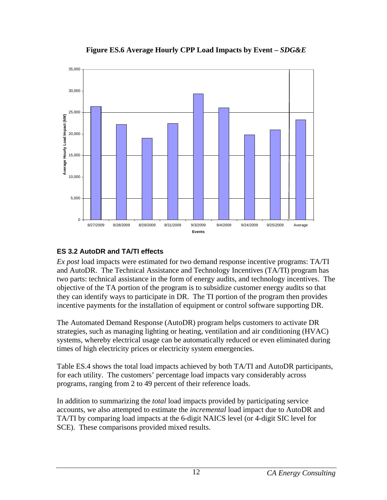<span id="page-18-0"></span>

**Figure ES.6 Average Hourly CPP Load Impacts by Event –** *SDG&E*

# **ES 3.2 AutoDR and TA/TI effects**

*Ex post* load impacts were estimated for two demand response incentive programs: TA/TI and AutoDR. The Technical Assistance and Technology Incentives (TA/TI) program has two parts: technical assistance in the form of energy audits, and technology incentives. The objective of the TA portion of the program is to subsidize customer energy audits so that they can identify ways to participate in DR. The TI portion of the program then provides incentive payments for the installation of equipment or control software supporting DR.

The Automated Demand Response (AutoDR) program helps customers to activate DR strategies, such as managing lighting or heating, ventilation and air conditioning (HVAC) systems, whereby electrical usage can be automatically reduced or even eliminated during times of high electricity prices or electricity system emergencies.

Table ES.4 shows the total load impacts achieved by both TA/TI and AutoDR participants, for each utility. The customers' percentage load impacts vary considerably across programs, ranging from 2 to 49 percent of their reference loads.

In addition to summarizing the *total* load impacts provided by participating service accounts, we also attempted to estimate the *incremental* load impact due to AutoDR and TA/TI by comparing load impacts at the 6-digit NAICS level (or 4-digit SIC level for SCE). These comparisons provided mixed results.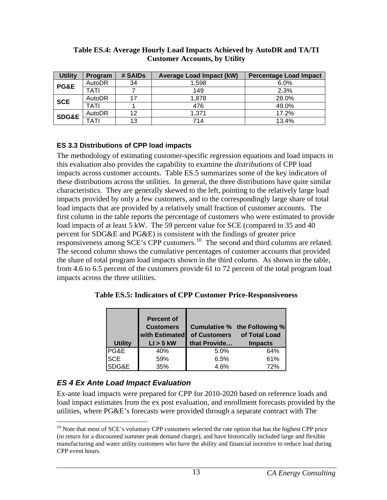| <b>Utility</b>   | Program | # SAIDs | <b>Average Load Impact (kW)</b> | <b>Percentage Load Impact</b> |
|------------------|---------|---------|---------------------------------|-------------------------------|
| <b>PG&amp;E</b>  | AutoDR  | 34      | 1.598                           | 6.0%                          |
|                  | TATI    |         | 149                             | 2.3%                          |
| <b>SCE</b>       | AutoDR  | 17      | 1,878                           | 28.0%                         |
|                  | TATI    |         | 476                             | 49.0%                         |
| <b>SDG&amp;E</b> | AutoDR  | 12      | 1.371                           | 17.2%                         |
|                  | TATI    | 13      | 714                             | 13.4%                         |

#### <span id="page-19-0"></span>**Table ES.4: Average Hourly Load Impacts Achieved by AutoDR and TA/TI Customer Accounts, by Utility**

## **ES 3.3 Distributions of CPP load impacts**

The methodology of estimating customer-specific regression equations and load impacts in this evaluation also provides the capability to examine the *distributions* of CPP load impacts across customer accounts. Table ES.5 summarizes some of the key indicators of these distributions across the utilities. In general, the three distributions have quite similar characteristics. They are generally skewed to the left, pointing to the relatively large load impacts provided by only a few customers, and to the correspondingly large share of total load impacts that are provided by a relatively small fraction of customer accounts. The first column in the table reports the percentage of customers who were estimated to provide load impacts of at least 5 kW. The 59 percent value for SCE (compared to 35 and 40) percent for SDG&E and PG&E) is consistent with the findings of greater price responsiveness among SCE's CPP customers.<sup>[10](#page-19-1)</sup> The second and third columns are related. The second column shows the cumulative percentages of customer accounts that provided the share of total program load impacts shown in the third column. As shown in the table, from 4.6 to 6.5 percent of the customers provide 61 to 72 percent of the total program load impacts across the three utilities.

**Table ES.5: Indicators of CPP Customer Price-Responsiveness** 

|                | <b>Percent of</b><br><b>Customers</b><br>with Estimated |              | Cumulative % the Following %<br>of Customers of Total Load |
|----------------|---------------------------------------------------------|--------------|------------------------------------------------------------|
| <b>Utility</b> | $LI > 5$ kW                                             | that Provide | <b>Impacts</b>                                             |
| PG&E           | 40%                                                     | 5.0%         | 64%                                                        |
| <b>SCE</b>     | 59%                                                     | 6.5%         | 61%                                                        |
| SDG&E          | 35%                                                     | 4.6%         | 72%                                                        |

# *ES 4 Ex Ante Load Impact Evaluation*

Ex-ante load impacts were prepared for CPP for 2010-2020 based on reference loads and load impact estimates from the ex post evaluation, and enrollment forecasts provided by the utilities, where PG&E's forecasts were provided through a separate contract with The

<span id="page-19-1"></span><sup>&</sup>lt;u>.</u>  $10$  Note that most of SCE's voluntary CPP customers selected the rate option that has the highest CPP price (in return for a discounted summer peak demand charge), and have historically included large and flexible manufacturing and water utility customers who have the ability and financial incentive to reduce load during CPP event hours.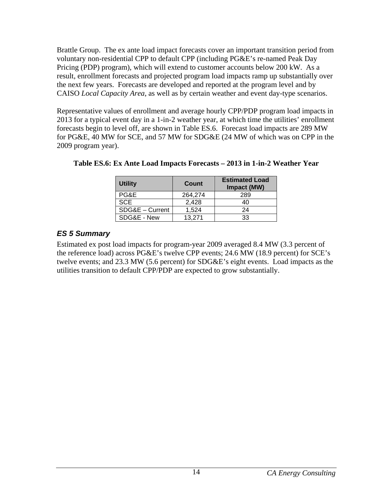<span id="page-20-0"></span>Brattle Group. The ex ante load impact forecasts cover an important transition period from voluntary non-residential CPP to default CPP (including PG&E's re-named Peak Day Pricing (PDP) program), which will extend to customer accounts below 200 kW. As a result, enrollment forecasts and projected program load impacts ramp up substantially over the next few years. Forecasts are developed and reported at the program level and by CAISO *Local Capacity Area*, as well as by certain weather and event day-type scenarios.

Representative values of enrollment and average hourly CPP/PDP program load impacts in 2013 for a typical event day in a 1-in-2 weather year, at which time the utilities' enrollment forecasts begin to level off, are shown in Table ES.6. Forecast load impacts are 289 MW for PG&E, 40 MW for SCE, and 57 MW for SDG&E (24 MW of which was on CPP in the 2009 program year).

| <b>Utility</b>  | Count   | <b>Estimated Load</b><br>Impact (MW) |
|-----------------|---------|--------------------------------------|
| PG&E            | 264,274 | 289                                  |
| <b>SCE</b>      | 2,428   | 40                                   |
| SDG&E - Current | 1,524   | 24                                   |
| SDG&E - New     | 13,271  | 33                                   |

| Table ES.6: Ex Ante Load Impacts Forecasts – 2013 in 1-in-2 Weather Year |  |
|--------------------------------------------------------------------------|--|
|--------------------------------------------------------------------------|--|

## *ES 5 Summary*

Estimated ex post load impacts for program-year 2009 averaged 8.4 MW (3.3 percent of the reference load) across PG&E's twelve CPP events; 24.6 MW (18.9 percent) for SCE's twelve events; and 23.3 MW (5.6 percent) for SDG&E's eight events. Load impacts as the utilities transition to default CPP/PDP are expected to grow substantially.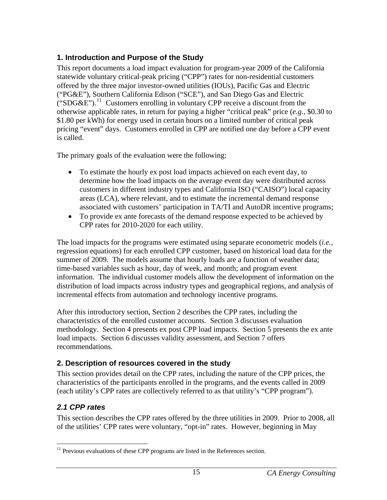# <span id="page-21-0"></span>**1. Introduction and Purpose of the Study**

This report documents a load impact evaluation for program-year 2009 of the California statewide voluntary critical-peak pricing ("CPP") rates for non-residential customers offered by the three major investor-owned utilities (IOUs), Pacific Gas and Electric ("PG&E"), Southern California Edison ("SCE"), and San Diego Gas and Electric ("SDG&E").<sup>[11](#page-21-1)</sup> Customers enrolling in voluntary CPP receive a discount from the otherwise applicable rates, in return for paying a higher "critical peak" price (*e.g.*, \$0.30 to \$1.80 per kWh) for energy used in certain hours on a limited number of critical peak pricing "event" days. Customers enrolled in CPP are notified one day before a CPP event is called.

The primary goals of the evaluation were the following:

- To estimate the hourly ex post load impacts achieved on each event day, to determine how the load impacts on the average event day were distributed across customers in different industry types and California ISO ("CAISO") local capacity areas (LCA), where relevant, and to estimate the incremental demand response associated with customers' participation in TA/TI and AutoDR incentive programs;
- To provide ex ante forecasts of the demand response expected to be achieved by CPP rates for 2010-2020 for each utility.

The load impacts for the programs were estimated using separate econometric models (*i.e.*, regression equations) for each enrolled CPP customer, based on historical load data for the summer of 2009. The models assume that hourly loads are a function of weather data; time-based variables such as hour, day of week, and month; and program event information. The individual customer models allow the development of information on the distribution of load impacts across industry types and geographical regions, and analysis of incremental effects from automation and technology incentive programs.

After this introductory section, Section 2 describes the CPP rates, including the characteristics of the enrolled customer accounts. Section 3 discusses evaluation methodology. Section 4 presents ex post CPP load impacts. Section 5 presents the ex ante load impacts. Section 6 discusses validity assessment, and Section 7 offers recommendations.

# **2. Description of resources covered in the study**

This section provides detail on the CPP rates, including the nature of the CPP prices, the characteristics of the participants enrolled in the programs, and the events called in 2009 (each utility's CPP rates are collectively referred to as that utility's "CPP program").

# *2.1 CPP rates*

This section describes the CPP rates offered by the three utilities in 2009. Prior to 2008, all of the utilities' CPP rates were voluntary, "opt-in" rates. However, beginning in May

<span id="page-21-1"></span><sup>&</sup>lt;u>.</u>  $11$  Previous evaluations of these CPP programs are listed in the References section.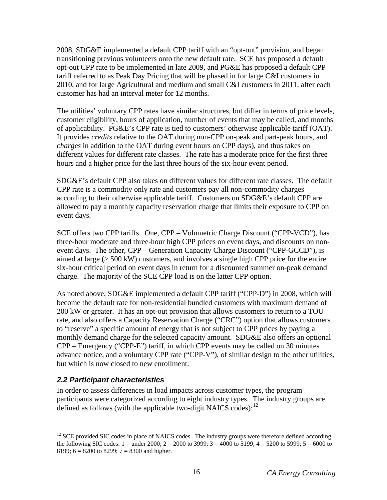<span id="page-22-0"></span>2008, SDG&E implemented a default CPP tariff with an "opt-out" provision, and began transitioning previous volunteers onto the new default rate. SCE has proposed a default opt-out CPP rate to be implemented in late 2009, and PG&E has proposed a default CPP tariff referred to as Peak Day Pricing that will be phased in for large C&I customers in 2010, and for large Agricultural and medium and small C&I customers in 2011, after each customer has had an interval meter for 12 months.

The utilities' voluntary CPP rates have similar structures, but differ in terms of price levels, customer eligibility, hours of application, number of events that may be called, and months of applicability. PG&E's CPP rate is tied to customers' otherwise applicable tariff (OAT). It provides *credits* relative to the OAT during non-CPP on-peak and part-peak hours, and *charges* in addition to the OAT during event hours on CPP days), and thus takes on different values for different rate classes. The rate has a moderate price for the first three hours and a higher price for the last three hours of the six-hour event period.

SDG&E's default CPP also takes on different values for different rate classes. The default CPP rate is a commodity only rate and customers pay all non-commodity charges according to their otherwise applicable tariff. Customers on SDG&E's default CPP are allowed to pay a monthly capacity reservation charge that limits their exposure to CPP on event days.

SCE offers two CPP tariffs. One, CPP – Volumetric Charge Discount ("CPP-VCD"), has three-hour moderate and three-hour high CPP prices on event days, and discounts on nonevent days. The other, CPP – Generation Capacity Charge Discount ("CPP-GCCD"), is aimed at large (> 500 kW) customers, and involves a single high CPP price for the entire six-hour critical period on event days in return for a discounted summer on-peak demand charge. The majority of the SCE CPP load is on the latter CPP option.

As noted above, SDG&E implemented a default CPP tariff ("CPP-D") in 2008, which will become the default rate for non-residential bundled customers with maximum demand of 200 kW or greater. It has an opt-out provision that allows customers to return to a TOU rate, and also offers a Capacity Reservation Charge ("CRC") option that allows customers to "reserve" a specific amount of energy that is not subject to CPP prices by paying a monthly demand charge for the selected capacity amount. SDG&E also offers an optional CPP – Emergency ("CPP-E") tariff, in which CPP events may be called on 30 minutes advance notice, and a voluntary CPP rate ("CPP-V"), of similar design to the other utilities, but which is now closed to new enrollment.

# *2.2 Participant characteristics*

In order to assess differences in load impacts across customer types, the program participants were categorized according to eight industry types. The industry groups are defined as follows (with the applicable two-digit NAICS codes): $12$ 

<span id="page-22-1"></span> $\overline{a}$ <sup>12</sup> SCE provided SIC codes in place of NAICS codes. The industry groups were therefore defined according the following SIC codes:  $1 =$  under 2000;  $2 = 2000$  to 3999;  $3 = 4000$  to 5199;  $4 = 5200$  to 5999;  $5 = 6000$  to 8199;  $6 = 8200$  to 8299;  $7 = 8300$  and higher.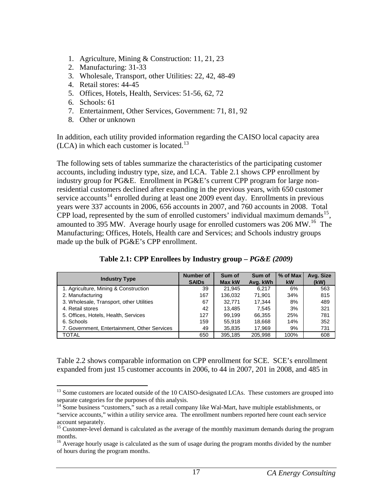- <span id="page-23-0"></span>1. Agriculture, Mining & Construction: 11, 21, 23
- 2. Manufacturing: 31-33
- 3. Wholesale, Transport, other Utilities: 22, 42, 48-49
- 4. Retail stores: 44-45
- 5. Offices, Hotels, Health, Services: 51-56, 62, 72
- 6. Schools: 61

1

- 7. Entertainment, Other Services, Government: 71, 81, 92
- 8. Other or unknown

In addition, each utility provided information regarding the CAISO local capacity area  $(LCA)$  in which each customer is located.<sup>[13](#page-23-1)</sup>

The following sets of tables summarize the characteristics of the participating customer accounts, including industry type, size, and LCA. Table 2.1 shows CPP enrollment by industry group for PG&E. Enrollment in PG&E's current CPP program for large nonresidential customers declined after expanding in the previous years, with 650 customer service accounts<sup>[14](#page-23-2)</sup> enrolled during at least one 2009 event day. Enrollments in previous years were 337 accounts in 2006, 656 accounts in 2007, and 760 accounts in 2008. Total CPP load, represented by the sum of enrolled customers' individual maximum demands<sup>[15](#page-23-3)</sup>, amounted to 395 MW. Average hourly usage for enrolled customers was  $206 \text{ MW}$ .<sup>[16](#page-23-4)</sup> The Manufacturing; Offices, Hotels, Health care and Services; and Schools industry groups made up the bulk of PG&E's CPP enrollment.

| <b>Industry Type</b>                         | Number of<br><b>SAIDs</b> | Sum of<br>Max kW | Sum of<br>Avg. kWh | % of Max<br><b>kW</b> | Avg. Size<br>(kW) |
|----------------------------------------------|---------------------------|------------------|--------------------|-----------------------|-------------------|
| 1. Agriculture, Mining & Construction        | 39                        | 21.945           | 6.217              | 6%                    | 563               |
| 2. Manufacturing                             | 167                       | 136.032          | 71.901             | 34%                   | 815               |
| 3. Wholesale, Transport, other Utilities     | 67                        | 32.771           | 17.344             | 8%                    | 489               |
| 4. Retail stores                             | 42                        | 13.485           | 7.545              | 3%                    | 321               |
| 5. Offices, Hotels, Health, Services         | 127                       | 99.199           | 66.355             | 25%                   | 781               |
| 6. Schools                                   | 159                       | 55.918           | 18,668             | 14%                   | 352               |
| 7. Government, Entertainment, Other Services | 49                        | 35,835           | 17,969             | 9%                    | 731               |
| <b>TOTAL</b>                                 | 650                       | 395.185          | 205.998            | 100%                  | 608               |

| Table 2.1: CPP Enrollees by Industry group $-PG\&E~(2009)$ |  |  |
|------------------------------------------------------------|--|--|
|------------------------------------------------------------|--|--|

Table 2.2 shows comparable information on CPP enrollment for SCE. SCE's enrollment expanded from just 15 customer accounts in 2006, to 44 in 2007, 201 in 2008, and 485 in

<span id="page-23-1"></span><sup>&</sup>lt;sup>13</sup> Some customers are located outside of the 10 CAISO-designated LCAs. These customers are grouped into separate categories for the purposes of this analysis.

<span id="page-23-2"></span><sup>&</sup>lt;sup>14</sup> Some business "customers," such as a retail company like Wal-Mart, have multiple establishments, or "service accounts," within a utility service area. The enrollment numbers reported here count each service account separately.

<span id="page-23-3"></span><sup>&</sup>lt;sup>15</sup> Customer-level demand is calculated as the average of the monthly maximum demands during the program months.

<span id="page-23-4"></span><sup>&</sup>lt;sup>16</sup> Average hourly usage is calculated as the sum of usage during the program months divided by the number of hours during the program months.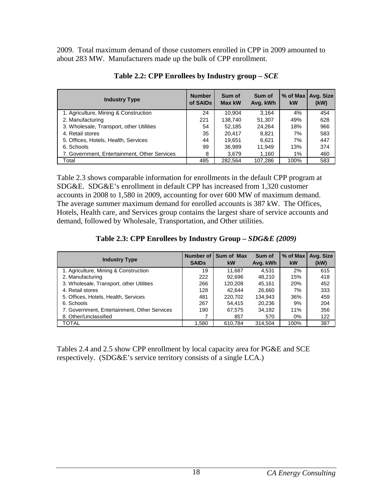<span id="page-24-0"></span>2009. Total maximum demand of those customers enrolled in CPP in 2009 amounted to about 283 MW. Manufacturers made up the bulk of CPP enrollment.

| <b>Industry Type</b>                         | <b>Number</b><br>of SAIDs | Sum of<br>Max kW | Sum of<br>Avg. kWh | $%$ of Max<br>kW | Avg. Size<br>(kW) |
|----------------------------------------------|---------------------------|------------------|--------------------|------------------|-------------------|
| 1. Agriculture, Mining & Construction        | 24                        | 10.904           | 3.164              | 4%               | 454               |
| 2. Manufacturing                             | 221                       | 138.740          | 51.307             | 49%              | 628               |
| 3. Wholesale, Transport, other Utilities     | 54                        | 52.185           | 24.264             | 18%              | 966               |
| 4. Retail stores                             | 35                        | 20.417           | 8.821              | 7%               | 583               |
| 5. Offices, Hotels, Health, Services         | 44                        | 19,651           | 6,621              | 7%               | 447               |
| 6. Schools                                   | 99                        | 36.989           | 11.949             | 13%              | 374               |
| 7. Government, Entertainment, Other Services | 8                         | 3.679            | 1.160              | 1%               | 460               |
| Total                                        | 485                       | 282.564          | 107.286            | 100%             | 583               |

**Table 2.2: CPP Enrollees by Industry group –** *SCE*

Table 2.3 shows comparable information for enrollments in the default CPP program at SDG&E. SDG&E's enrollment in default CPP has increased from 1,320 customer accounts in 2008 to 1,580 in 2009, accounting for over 600 MW of maximum demand. The average summer maximum demand for enrolled accounts is 387 kW. The Offices, Hotels, Health care, and Services group contains the largest share of service accounts and demand, followed by Wholesale, Transportation, and Other utilities.

**Table 2.3: CPP Enrollees by Industry Group –** *SDG&E (2009)* 

| <b>Industry Type</b>                         | Number of<br><b>SAIDS</b> | Sum of Max<br>kW | Sum of<br>Avg. kWh | $%$ of Max<br>kW | Avg. Size<br>(kW) |
|----------------------------------------------|---------------------------|------------------|--------------------|------------------|-------------------|
| 1. Agriculture, Mining & Construction        | 19                        | 11.687           | 4.531              | 2%               | 615               |
| 2. Manufacturing                             | 222                       | 92.696           | 48.210             | 15%              | 418               |
| 3. Wholesale, Transport, other Utilities     | 266                       | 120.208          | 45.161             | 20%              | 452               |
| 4. Retail stores                             | 128                       | 42.644           | 26,660             | 7%               | 333               |
| 5. Offices, Hotels, Health, Services         | 481                       | 220.702          | 134.943            | 36%              | 459               |
| 6. Schools                                   | 267                       | 54.415           | 20.236             | 9%               | 204               |
| 7. Government, Entertainment, Other Services | 190                       | 67.575           | 34.192             | 11%              | 356               |
| 8. Other/Unclassified                        |                           | 857              | 570                | $0\%$            | 122               |
| <b>TOTAL</b>                                 | 1,580                     | 610.784          | 314.504            | 100%             | 387               |

Tables 2.4 and 2.5 show CPP enrollment by local capacity area for PG&E and SCE respectively. (SDG&E's service territory consists of a single LCA.)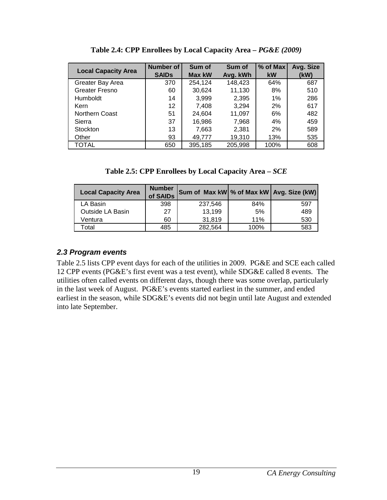<span id="page-25-0"></span>

| <b>Local Capacity Area</b> | Number of    | Sum of        | Sum of   | $%$ of Max | Avg. Size |
|----------------------------|--------------|---------------|----------|------------|-----------|
|                            | <b>SAIDs</b> | <b>Max kW</b> | Avg. kWh | kW         | (kW)      |
| Greater Bay Area           | 370          | 254,124       | 148,423  | 64%        | 687       |
| Greater Fresno             | 60           | 30.624        | 11,130   | 8%         | 510       |
| Humboldt                   | 14           | 3.999         | 2,395    | $1\%$      | 286       |
| <b>Kern</b>                | 12           | 7.408         | 3,294    | 2%         | 617       |
| Northern Coast             | 51           | 24.604        | 11,097   | 6%         | 482       |
| Sierra                     | 37           | 16.986        | 7,968    | 4%         | 459       |
| <b>Stockton</b>            | 13           | 7,663         | 2,381    | 2%         | 589       |
| Other                      | 93           | 49,777        | 19,310   | 13%        | 535       |
| TOTAL                      | 650          | 395.185       | 205,998  | 100%       | 608       |

**Table 2.4: CPP Enrollees by Local Capacity Area –** *PG&E (2009)* 

**Table 2.5: CPP Enrollees by Local Capacity Area –** *SCE*

| <b>Local Capacity Area</b> | <b>Number</b><br>of SAIDs | Sum of Max kW % of Max kW   Avg. Size (kW) |      |     |
|----------------------------|---------------------------|--------------------------------------------|------|-----|
| LA Basin                   | 398                       | 237,546                                    | 84%  | 597 |
| Outside LA Basin           | 27                        | 13,199                                     | 5%   | 489 |
| Ventura                    | 60                        | 31.819                                     | 11%  | 530 |
| otal <sup>-</sup>          | 485                       | 282.564                                    | 100% | 583 |

# *2.3 Program events*

Table 2.5 lists CPP event days for each of the utilities in 2009. PG&E and SCE each called 12 CPP events (PG&E's first event was a test event), while SDG&E called 8 events. The utilities often called events on different days, though there was some overlap, particularly in the last week of August. PG&E's events started earliest in the summer, and ended earliest in the season, while SDG&E's events did not begin until late August and extended into late September.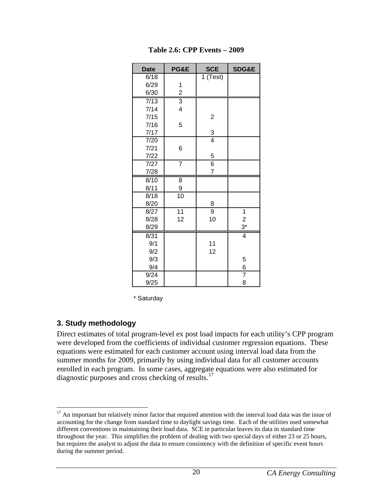<span id="page-26-0"></span>

| <b>Date</b>       | PG&E                    | <b>SCE</b>     | SDG&E           |
|-------------------|-------------------------|----------------|-----------------|
| 6/18              |                         | 1 (Test)       |                 |
| 6/29              | 1                       |                |                 |
| 6/30              | $\overline{c}$          |                |                 |
| $\sqrt{7/13}$     | $\overline{3}$          |                |                 |
| 7/14              | $\overline{\mathbf{4}}$ |                |                 |
| 7/15              |                         | $\overline{2}$ |                 |
| 7/16              | 5                       |                |                 |
| 7/17              |                         | $\frac{3}{4}$  |                 |
| 7/20              |                         |                |                 |
| 7/21              | 6                       |                |                 |
| 7/22              |                         | 5              |                 |
| $\overline{7}/27$ | $\overline{7}$          | $\overline{6}$ |                 |
| 7/28              |                         | $\overline{7}$ |                 |
| 8/10              | 8                       |                |                 |
| 8/11              | 9                       |                |                 |
| 8/18              | $\overline{10}$         |                |                 |
| 8/20              |                         | 8              |                 |
| 8/27              | $\overline{11}$         | $\overline{9}$ | 1               |
| 8/28              | 12                      | 10             | $\overline{c}$  |
| 8/29              |                         |                | $3^*$           |
| 8/31              |                         |                | $\overline{4}$  |
| 9/1               |                         | 11             |                 |
| 9/2               |                         | 12             |                 |
| 9/3               |                         |                | 5               |
| 9/4               |                         |                | $6 \overline{}$ |
| 9/24              |                         |                | 7               |
| 9/25              |                         |                | 8               |

**Table 2.6: CPP Events – 2009** 

\* Saturday

## **3. Study methodology**

Direct estimates of total program-level ex post load impacts for each utility's CPP program were developed from the coefficients of individual customer regression equations. These equations were estimated for each customer account using interval load data from the summer months for 2009, primarily by using individual data for all customer accounts enrolled in each program. In some cases, aggregate equations were also estimated for diagnostic purposes and cross checking of results. $^{17}$  $^{17}$  $^{17}$ 

<span id="page-26-1"></span> $\overline{a}$  $17$  An important but relatively minor factor that required attention with the interval load data was the issue of accounting for the change from standard time to daylight savings time. Each of the utilities used somewhat different conventions in maintaining their load data. SCE in particular leaves its data in standard time throughout the year. This simplifies the problem of dealing with two special days of either 23 or 25 hours, but requires the analyst to adjust the data to ensure consistency with the definition of specific event hours during the summer period.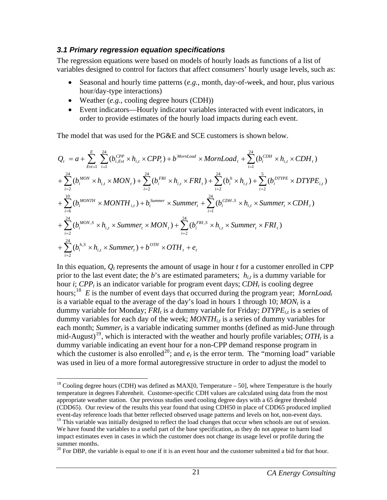#### <span id="page-27-0"></span>*3.1 Primary regression equation specifications*

The regression equations were based on models of hourly loads as functions of a list of variables designed to control for factors that affect consumers' hourly usage levels, such as:

- Seasonal and hourly time patterns (*e.g.*, month, day-of-week, and hour, plus various hour/day-type interactions)
- Weather (*e.g.*, cooling degree hours (CDH))
- Event indicators—Hourly indicator variables interacted with event indicators, in order to provide estimates of the hourly load impacts during each event.

The model that was used for the PG&E and SCE customers is shown below.

$$
Q_{t} = a + \sum_{Evt=1}^{E} \sum_{i=1}^{24} (b_{i,Evt}^{CPP} \times h_{i,t} \times CPP_{t}) + b^{MornLoad} \times MornLoad_{t} + \sum_{i=1}^{24} (b_{i}^{CDH} \times h_{i,t} \times CDH_{t})
$$
  
+  $\sum_{i=2}^{24} (b_{i}^{MON} \times h_{i,t} \times MON_{t}) + \sum_{i=2}^{24} (b_{i}^{FRI} \times h_{i,t} \times FRI_{t}) + \sum_{i=2}^{24} (b_{i}^{h} \times h_{i,t}) + \sum_{i=2}^{5} (b_{i}^{DTYPE} \times DTYPE_{i,t})$   
+  $\sum_{i=6}^{10} (b_{i}^{MONTH} \times MONTH_{i,t}) + b_{t}^{Summer} \times Summer_{t} + \sum_{i=1}^{24} (b_{i}^{CDH,S} \times h_{i,t} \times Summer_{t} \times CDH_{t})$   
+  $\sum_{i=2}^{24} (b_{i}^{MON,S} \times h_{i,t} \times Summer_{t} \times MON_{t}) + \sum_{i=2}^{24} (b_{i}^{FRI,S} \times h_{i,t} \times Summer_{t} \times FRI_{t})$   
+  $\sum_{i=2}^{24} (b_{i}^{h,S} \times h_{i,t} \times Summer_{t}) + b^{OTH} \times OTH_{t} + e_{t}$ 

In this equation,  $Q_t$  represents the amount of usage in hour  $t$  for a customer enrolled in CPP prior to the last event date; the *b*'s are estimated parameters;  $h_{i,t}$  is a dummy variable for hour *i*;  $CPP_t$  is an indicator variable for program event days;  $CDH_t$  is cooling degree hours;<sup>[18](#page-27-1)</sup> *E* is the number of event days that occurred during the program year; *MornLoadt* is a variable equal to the average of the day's load in hours 1 through 10;  $MON_t$  is a dummy variable for Monday; *FRI<sub>t</sub>* is a dummy variable for Friday; *DTYPE<sub>it</sub>* is a series of dummy variables for each day of the week;  $MONTH_{i,t}$  is a series of dummy variables for each month; *Summer<sub>t</sub>* is a variable indicating summer months (defined as mid-June through mid-August)<sup>[19](#page-27-2)</sup>, which is interacted with the weather and hourly profile variables;  $OTH<sub>t</sub>$  is a dummy variable indicating an event hour for a non-CPP demand response program in which the customer is also enrolled<sup>[20](#page-27-3)</sup>; and  $e_t$  is the error term. The "morning load" variable was used in lieu of a more formal autoregressive structure in order to adjust the model to

<span id="page-27-1"></span> $\overline{a}$ <sup>18</sup> Cooling degree hours (CDH) was defined as MAX[0, Temperature – 50], where Temperature is the hourly temperature in degrees Fahrenheit. Customer-specific CDH values are calculated using data from the most appropriate weather station. Our previous studies used cooling degree days with a 65 degree threshold (CDD65). Our review of the results this year found that using CDH50 in place of CDD65 produced implied event-day reference loads that better reflected observed usage patterns and levels on hot, non-event days.

<span id="page-27-2"></span><sup>&</sup>lt;sup>19</sup> This variable was initially designed to reflect the load changes that occur when schools are out of session. We have found the variables to a useful part of the base specification, as they do not appear to harm load impact estimates even in cases in which the customer does not change its usage level or profile during the summer months.

<span id="page-27-3"></span> $20$  For DBP, the variable is equal to one if it is an event hour and the customer submitted a bid for that hour.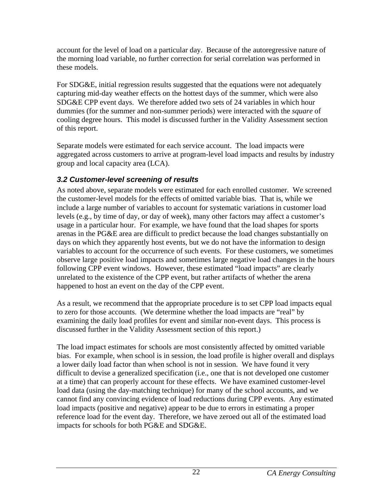<span id="page-28-0"></span>account for the level of load on a particular day. Because of the autoregressive nature of the morning load variable, no further correction for serial correlation was performed in these models.

For SDG&E, initial regression results suggested that the equations were not adequately capturing mid-day weather effects on the hottest days of the summer, which were also SDG&E CPP event days. We therefore added two sets of 24 variables in which hour dummies (for the summer and non-summer periods) were interacted with the *square* of cooling degree hours. This model is discussed further in the Validity Assessment section of this report.

Separate models were estimated for each service account. The load impacts were aggregated across customers to arrive at program-level load impacts and results by industry group and local capacity area (LCA).

# *3.2 Customer-level screening of results*

As noted above, separate models were estimated for each enrolled customer. We screened the customer-level models for the effects of omitted variable bias. That is, while we include a large number of variables to account for systematic variations in customer load levels (e.g., by time of day, or day of week), many other factors may affect a customer's usage in a particular hour. For example, we have found that the load shapes for sports arenas in the PG&E area are difficult to predict because the load changes substantially on days on which they apparently host events, but we do not have the information to design variables to account for the occurrence of such events. For these customers, we sometimes observe large positive load impacts and sometimes large negative load changes in the hours following CPP event windows. However, these estimated "load impacts" are clearly unrelated to the existence of the CPP event, but rather artifacts of whether the arena happened to host an event on the day of the CPP event.

As a result, we recommend that the appropriate procedure is to set CPP load impacts equal to zero for those accounts. (We determine whether the load impacts are "real" by examining the daily load profiles for event and similar non-event days. This process is discussed further in the Validity Assessment section of this report.)

The load impact estimates for schools are most consistently affected by omitted variable bias. For example, when school is in session, the load profile is higher overall and displays a lower daily load factor than when school is not in session. We have found it very difficult to devise a generalized specification (i.e., one that is not developed one customer at a time) that can properly account for these effects. We have examined customer-level load data (using the day-matching technique) for many of the school accounts, and we cannot find any convincing evidence of load reductions during CPP events. Any estimated load impacts (positive and negative) appear to be due to errors in estimating a proper reference load for the event day. Therefore, we have zeroed out all of the estimated load impacts for schools for both PG&E and SDG&E.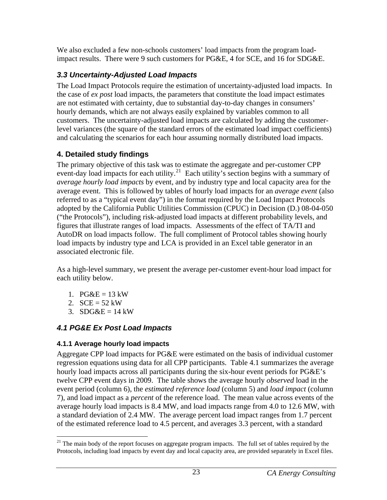<span id="page-29-0"></span>We also excluded a few non-schools customers' load impacts from the program loadimpact results. There were 9 such customers for PG&E, 4 for SCE, and 16 for SDG&E.

# *3.3 Uncertainty-Adjusted Load Impacts*

The Load Impact Protocols require the estimation of uncertainty-adjusted load impacts. In the case of *ex post* load impacts, the parameters that constitute the load impact estimates are not estimated with certainty, due to substantial day-to-day changes in consumers' hourly demands, which are not always easily explained by variables common to all customers. The uncertainty-adjusted load impacts are calculated by adding the customerlevel variances (the square of the standard errors of the estimated load impact coefficients) and calculating the scenarios for each hour assuming normally distributed load impacts.

# **4. Detailed study findings**

The primary objective of this task was to estimate the aggregate and per-customer CPP event-day load impacts for each utility.<sup>[21](#page-29-1)</sup> Each utility's section begins with a summary of *average hourly load impacts* by event, and by industry type and local capacity area for the average event. This is followed by tables of hourly load impacts for an *average event* (also referred to as a "typical event day") in the format required by the Load Impact Protocols adopted by the California Public Utilities Commission (CPUC) in Decision (D.) 08-04-050 ("the Protocols"), including risk-adjusted load impacts at different probability levels, and figures that illustrate ranges of load impacts. Assessments of the effect of TA/TI and AutoDR on load impacts follow. The full compliment of Protocol tables showing hourly load impacts by industry type and LCA is provided in an Excel table generator in an associated electronic file.

As a high-level summary, we present the average per-customer event-hour load impact for each utility below.

- 1.  $PG&E = 13$  kW
- 2.  $SCE = 52$  kW
- 3.  $SDG&E = 14$  kW

# *4.1 PG&E Ex Post Load Impacts*

# **4.1.1 Average hourly load impacts**

Aggregate CPP load impacts for PG&E were estimated on the basis of individual customer regression equations using data for all CPP participants. Table 4.1 summarizes the average hourly load impacts across all participants during the six-hour event periods for PG&E's twelve CPP event days in 2009. The table shows the average hourly *observed* load in the event period (column 6), the *estimated reference load* (column 5) and *load impact* (column 7), and load impact as a *percent* of the reference load. The mean value across events of the average hourly load impacts is 8.4 MW, and load impacts range from 4.0 to 12.6 MW, with a standard deviation of 2.4 MW. The average percent load impact ranges from 1.7 percent of the estimated reference load to 4.5 percent, and averages 3.3 percent, with a standard

<span id="page-29-1"></span> $\overline{a}$  $21$  The main body of the report focuses on aggregate program impacts. The full set of tables required by the Protocols, including load impacts by event day and local capacity area, are provided separately in Excel files.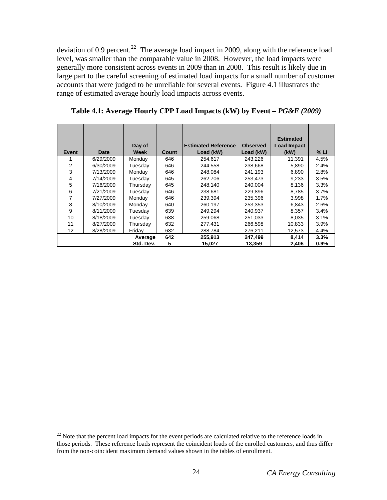<span id="page-30-0"></span>deviation of 0.9 percent.<sup>[22](#page-30-1)</sup> The average load impact in 2009, along with the reference load level, was smaller than the comparable value in 2008. However, the load impacts were generally more consistent across events in 2009 than in 2008. This result is likely due in large part to the careful screening of estimated load impacts for a small number of customer accounts that were judged to be unreliable for several events. Figure 4.1 illustrates the range of estimated average hourly load impacts across events.

**Table 4.1: Average Hourly CPP Load Impacts (kW) by Event –** *PG&E (2009)*

|       |           | Day of    |              | <b>Estimated Reference</b> | <b>Observed</b> | <b>Estimated</b><br><b>Load Impact</b> |      |
|-------|-----------|-----------|--------------|----------------------------|-----------------|----------------------------------------|------|
| Event | Date      | Week      | <b>Count</b> | Load (kW)                  | Load (kW)       | (kW)                                   | % LI |
|       | 6/29/2009 | Monday    | 646          | 254.617                    | 243,226         | 11,391                                 | 4.5% |
| 2     | 6/30/2009 | Tuesday   | 646          | 244.558                    | 238,668         | 5,890                                  | 2.4% |
| 3     | 7/13/2009 | Monday    | 646          | 248.084                    | 241.193         | 6,890                                  | 2.8% |
| 4     | 7/14/2009 | Tuesday   | 645          | 262,706                    | 253,473         | 9,233                                  | 3.5% |
| 5     | 7/16/2009 | Thursday  | 645          | 248.140                    | 240.004         | 8,136                                  | 3.3% |
| 6     | 7/21/2009 | Tuesday   | 646          | 238,681                    | 229,896         | 8,785                                  | 3.7% |
|       | 7/27/2009 | Monday    | 646          | 239,394                    | 235,396         | 3,998                                  | 1.7% |
| 8     | 8/10/2009 | Monday    | 640          | 260.197                    | 253.353         | 6,843                                  | 2.6% |
| 9     | 8/11/2009 | Tuesday   | 639          | 249,294                    | 240,937         | 8,357                                  | 3.4% |
| 10    | 8/18/2009 | Tuesday   | 638          | 259.068                    | 251.033         | 8,035                                  | 3.1% |
| 11    | 8/27/2009 | Thursday  | 632          | 277,431                    | 266,598         | 10,833                                 | 3.9% |
| 12    | 8/28/2009 | Friday    | 632          | 288,784                    | 276,211         | 12,573                                 | 4.4% |
|       |           | Average   | 642          | 255,913                    | 247,499         | 8,414                                  | 3.3% |
|       |           | Std. Dev. | 5            | 15,027                     | 13,359          | 2,406                                  | 0.9% |

<span id="page-30-1"></span><sup>1</sup>  $22$  Note that the percent load impacts for the event periods are calculated relative to the reference loads in those periods. These reference loads represent the coincident loads of the enrolled customers, and thus differ from the non-coincident maximum demand values shown in the tables of enrollment.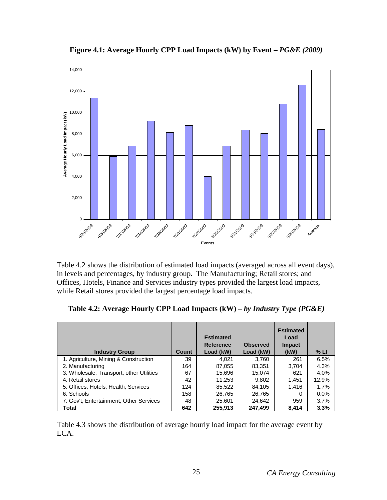<span id="page-31-0"></span>

Figure 4.1: Average Hourly CPP Load Impacts (kW) by Event –  $PG\&E$  (2009)

Table 4.2 shows the distribution of estimated load impacts (averaged across all event days), in levels and percentages, by industry group. The Manufacturing; Retail stores; and Offices, Hotels, Finance and Services industry types provided the largest load impacts, while Retail stores provided the largest percentage load impacts.

| <b>Industry Group</b>                    | Count | <b>Estimated</b><br><b>Reference</b><br>Load (kW) | <b>Observed</b><br>Load (kW) | <b>Estimated</b><br>Load<br><b>Impact</b><br>(kW) | % LI    |
|------------------------------------------|-------|---------------------------------------------------|------------------------------|---------------------------------------------------|---------|
| 1. Agriculture, Mining & Construction    | 39    | 4.021                                             | 3,760                        | 261                                               | 6.5%    |
| 2. Manufacturing                         | 164   | 87,055                                            | 83.351                       | 3.704                                             | 4.3%    |
| 3. Wholesale, Transport, other Utilities | 67    | 15,696                                            | 15,074                       | 621                                               | 4.0%    |
| 4. Retail stores                         | 42    | 11.253                                            | 9,802                        | 1,451                                             | 12.9%   |
| 5. Offices, Hotels, Health, Services     | 124   | 85.522                                            | 84,105                       | 1,416                                             | 1.7%    |
| 6. Schools                               | 158   | 26,765                                            | 26,765                       | 0                                                 | $0.0\%$ |
| 7. Gov't, Entertainment, Other Services  | 48    | 25,601                                            | 24,642                       | 959                                               | 3.7%    |
| Total                                    | 642   | 255.913                                           | 247,499                      | 8.414                                             | 3.3%    |

**Table 4.2: Average Hourly CPP Load Impacts (kW) –** *by Industry Type (PG&E)* 

Table 4.3 shows the distribution of average hourly load impact for the average event by LCA.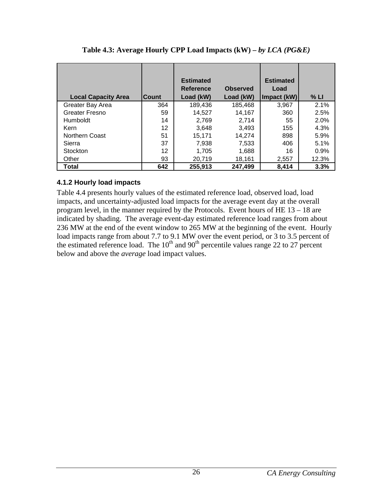<span id="page-32-0"></span>

| <b>Local Capacity Area</b> | <b>Count</b> | <b>Estimated</b><br><b>Reference</b><br>Load (kW) | <b>Observed</b><br>Load (kW) | <b>Estimated</b><br>Load<br>Impact (kW) | % LI  |
|----------------------------|--------------|---------------------------------------------------|------------------------------|-----------------------------------------|-------|
| Greater Bay Area           | 364          | 189,436                                           | 185,468                      | 3,967                                   | 2.1%  |
| Greater Fresno             | 59           | 14.527                                            | 14.167                       | 360                                     | 2.5%  |
| Humboldt                   | 14           | 2,769                                             | 2.714                        | 55                                      | 2.0%  |
| Kern                       | 12           | 3.648                                             | 3.493                        | 155                                     | 4.3%  |
| <b>Northern Coast</b>      | 51           | 15,171                                            | 14.274                       | 898                                     | 5.9%  |
| Sierra                     | 37           | 7,938                                             | 7,533                        | 406                                     | 5.1%  |
| Stockton                   | 12           | 1.705                                             | 1,688                        | 16                                      | 0.9%  |
| Other                      | 93           | 20,719                                            | 18,161                       | 2,557                                   | 12.3% |
| Total                      | 642          | 255,913                                           | 247,499                      | 8.414                                   | 3.3%  |

**Table 4.3: Average Hourly CPP Load Impacts (kW) –** *by LCA (PG&E)*

## **4.1.2 Hourly load impacts**

Table 4.4 presents hourly values of the estimated reference load, observed load, load impacts, and uncertainty-adjusted load impacts for the average event day at the overall program level, in the manner required by the Protocols. Event hours of HE 13 – 18 are indicated by shading. The average event-day estimated reference load ranges from about 236 MW at the end of the event window to 265 MW at the beginning of the event. Hourly load impacts range from about 7.7 to 9.1 MW over the event period, or 3 to 3.5 percent of the estimated reference load. The  $10<sup>th</sup>$  and  $90<sup>th</sup>$  percentile values range 22 to 27 percent below and above the *average* load impact values.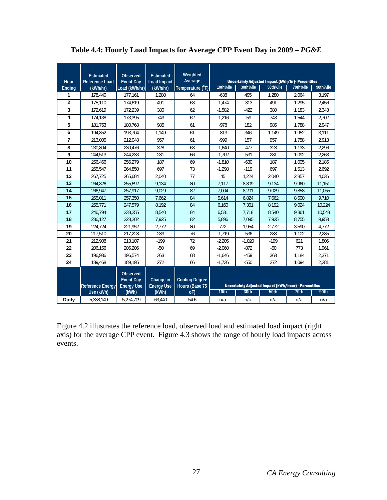| Hour           | <b>Estimated</b><br><b>Reference Load</b> | Observed<br>Event-Day      | <b>Estimated</b><br><b>Load Impact</b> | Weighted<br>Average      |          |          | <b>Uncertainty Adjusted Impact (kWh/hr)- Percentlies</b>            |          |          |
|----------------|-------------------------------------------|----------------------------|----------------------------------------|--------------------------|----------|----------|---------------------------------------------------------------------|----------|----------|
| Ending         | (kWh/hr)                                  | Load (kWh/hr)              | (kWh/hr)                               | Temperature (°F)         | 10th%ile | 30th%ile | 50th%ile                                                            | 70th%ile | 90th%ile |
| 1              | 178,440                                   | 177,161                    | 1,280                                  | 64                       | $-638$   | 495      | 1,280                                                               | 2,064    | 3,197    |
| $\overline{2}$ | 175,110                                   | 174.619                    | 491                                    | 63                       | $-1,474$ | $-313$   | 491                                                                 | 1,295    | 2,456    |
| 3              | 172,619                                   | 172,239                    | 380                                    | 62                       | $-1,582$ | $-422$   | 380                                                                 | 1,183    | 2,343    |
| 4              | 174.138                                   | 173.395                    | 743                                    | 62                       | $-1.216$ | $-59$    | 743                                                                 | 1.544    | 2.702    |
| 5              | 181.753                                   | 180.768                    | 985                                    | 61                       | $-978$   | 182      | 985                                                                 | 1.788    | 2,947    |
| 6              | 194,852                                   | 193,704                    | 1,149                                  | 61                       | $-813$   | 346      | 1,149                                                               | 1,952    | 3,111    |
| $\overline{7}$ | 213.005                                   | 212.048                    | 957                                    | 61                       | $-999$   | 157      | 957                                                                 | 1,758    | 2,913    |
| 8              | 230,804                                   | 230,476                    | 328                                    | 63                       | $-1,640$ | $-477$   | 328                                                                 | 1,133    | 2,296    |
| 9              | 244,513                                   | 244,233                    | 281                                    | 66                       | $-1,702$ | $-531$   | 281                                                                 | 1,092    | 2,263    |
| 10             | 256,466                                   | 256,279                    | 187                                    | 69                       | $-1,810$ | $-630$   | 187                                                                 | 1,005    | 2,185    |
| 11             | 265.547                                   | 264.850                    | 697                                    | 73                       | $-1.298$ | $-119$   | 697                                                                 | 1.513    | 2.692    |
| 12             | 267.725                                   | 265,684                    | 2,040                                  | 77                       | 45       | 1,224    | 2,040                                                               | 2.857    | 4,036    |
| 13             | 264,826                                   | 255.692                    | 9,134                                  | 80                       | 7,117    | 8,309    | 9,134                                                               | 9,960    | 11,151   |
| 14             | 266,947                                   | 257,917                    | 9.029                                  | 82                       | 7,004    | 8,201    | 9.029                                                               | 9.858    | 11,055   |
| 15             | 265,011                                   | 257,350                    | 7,662                                  | 84                       | 5,614    | 6,824    | 7,662                                                               | 8,500    | 9,710    |
| 16             | 255,771                                   | 247,579                    | 8,192                                  | 84                       | 6,160    | 7,361    | 8,192                                                               | 9,024    | 10,224   |
| 17             | 246,794                                   | 238,255                    | 8,540                                  | 84                       | 6,531    | 7,718    | 8,540                                                               | 9,361    | 10,548   |
| 18             | 236,127                                   | 228,202                    | 7.925                                  | 82                       | 5,896    | 7,095    | 7,925                                                               | 8,755    | 9,953    |
| 19             | 224,724                                   | 221,952                    | 2,772                                  | 80                       | 772      | 1,954    | 2,772                                                               | 3,590    | 4,772    |
| 20             | 217.510                                   | 217.228                    | 283                                    | 76                       | $-1.719$ | $-536$   | 283                                                                 | 1,102    | 2,285    |
| 21             | 212.908                                   | 213.107                    | $-199$                                 | 72                       | $-2.205$ | $-1,020$ | $-199$                                                              | 621      | 1,806    |
| 22             | 206,156                                   | 206,206                    | $-50$                                  | 69                       | $-2,060$ | $-872$   | $-50$                                                               | 773      | 1,961    |
| 23             | 196,936                                   | 196,574                    | 363                                    | 68                       | $-1,646$ | $-459$   | 363                                                                 | 1,184    | 2,371    |
| 24             | 189,468                                   | 189,195                    | 272                                    | 66                       | $-1,736$ | $-550$   | 272                                                                 | 1,094    | 2,281    |
|                |                                           | Observed                   |                                        |                          |          |          |                                                                     |          |          |
|                |                                           | Event-Day                  | Change in                              | <b>Cooling Degree</b>    |          |          |                                                                     |          |          |
|                | <b>Reference Energy</b><br>Use (kWh)      | <b>Energy Use</b><br>(kWh) | <b>Energy Use</b><br>(kWh)             | Hours (Base 75<br>$oF$ ) | 10th     | 30th     | <b>Uncertainty Adjusted Impact (kWh/hour) - Percentiles</b><br>50th | 70th     | 90th     |
| <b>Daily</b>   | 5,338,149                                 | 5,274,709                  | 63,440                                 | 54.6                     | n/a      | n/a      | n/a                                                                 | n/a      | n/a      |

<span id="page-33-0"></span>Table 4.4: Hourly Load Impacts for Average CPP Event Day in 2009 –  $PG\&E$ 

Figure 4.2 illustrates the reference load, observed load and estimated load impact (right axis) for the average CPP event. Figure 4.3 shows the range of hourly load impacts across events.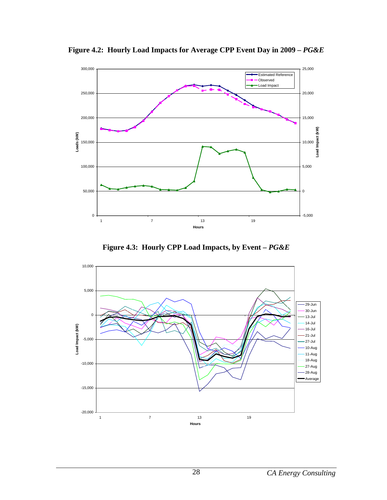

<span id="page-34-0"></span>**Figure 4.2: Hourly Load Impacts for Average CPP Event Day in 2009 –** *PG&E*



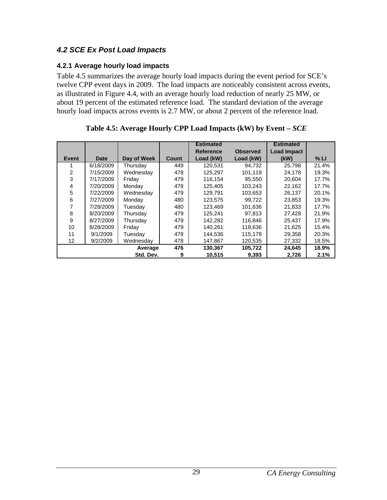# <span id="page-35-0"></span>*4.2 SCE Ex Post Load Impacts*

## **4.2.1 Average hourly load impacts**

Table 4.5 summarizes the average hourly load impacts during the event period for SCE's twelve CPP event days in 2009. The load impacts are noticeably consistent across events, as illustrated in Figure 4.4, with an average hourly load reduction of nearly 25 MW, or about 19 percent of the estimated reference load. The standard deviation of the average hourly load impacts across events is 2.7 MW, or about 2 percent of the reference load.

|       |           |             |       | <b>Estimated</b> |                 | <b>Estimated</b>   |       |
|-------|-----------|-------------|-------|------------------|-----------------|--------------------|-------|
|       |           |             |       | Reference        | <b>Observed</b> | <b>Load Impact</b> |       |
| Event | Date      | Day of Week | Count | Load (kW)        | Load (kW)       | (kW)               | % LI  |
|       | 6/18/2009 | Thursday    | 449   | 120.531          | 94.732          | 25.798             | 21.4% |
| 2     | 7/15/2009 | Wednesday   | 478   | 125.297          | 101,119         | 24,178             | 19.3% |
| 3     | 7/17/2009 | Friday      | 479   | 116.154          | 95,550          | 20.604             | 17.7% |
| 4     | 7/20/2009 | Monday      | 478   | 125.405          | 103.243         | 22,162             | 17.7% |
| 5     | 7/22/2009 | Wednesday   | 479   | 129.791          | 103,653         | 26,137             | 20.1% |
| 6     | 7/27/2009 | Monday      | 480   | 123,575          | 99,722          | 23,853             | 19.3% |
| 7     | 7/28/2009 | Tuesday     | 480   | 123.469          | 101.636         | 21,833             | 17.7% |
| 8     | 8/20/2009 | Thursday    | 479   | 125.241          | 97.813          | 27.428             | 21.9% |
| 9     | 8/27/2009 | Thursday    | 479   | 142,282          | 116,846         | 25.437             | 17.9% |
| 10    | 8/28/2009 | Friday      | 479   | 140.261          | 118,636         | 21.625             | 15.4% |
| 11    | 9/1/2009  | Tuesday     | 478   | 144,536          | 115,178         | 29,358             | 20.3% |
| 12    | 9/2/2009  | Wednesdav   | 478   | 147,867          | 120,535         | 27,332             | 18.5% |
|       |           | Average     | 476   | 130.367          | 105,722         | 24,645             | 18.9% |
|       |           | Std. Dev.   | 9     | 10,515           | 9,393           | 2,726              | 2.1%  |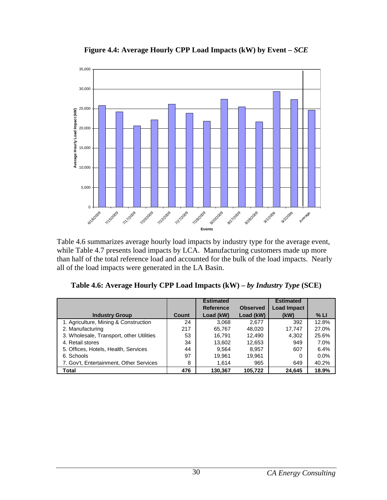

**Figure 4.4: Average Hourly CPP Load Impacts (kW) by Event –** *SCE* 

Table 4.6 summarizes average hourly load impacts by industry type for the average event, while Table 4.7 presents load impacts by LCA. Manufacturing customers made up more than half of the total reference load and accounted for the bulk of the load impacts. Nearly all of the load impacts were generated in the LA Basin.

| Table 4.6: Average Hourly CPP Load Impacts (kW) – by Industry Type (SCE) |  |  |  |  |  |  |  |
|--------------------------------------------------------------------------|--|--|--|--|--|--|--|
|--------------------------------------------------------------------------|--|--|--|--|--|--|--|

|                                          |       | <b>Estimated</b> |                 | <b>Estimated</b>   |         |
|------------------------------------------|-------|------------------|-----------------|--------------------|---------|
|                                          |       | <b>Reference</b> | <b>Observed</b> | <b>Load Impact</b> |         |
| <b>Industry Group</b>                    | Count | Load (kW)        | Load (kW)       | (kW)               | % LI    |
| 1. Agriculture, Mining & Construction    | 24    | 3.068            | 2,677           | 392                | 12.8%   |
| 2. Manufacturing                         | 217   | 65,767           | 48,020          | 17,747             | 27.0%   |
| 3. Wholesale, Transport, other Utilities | 53    | 16.791           | 12,490          | 4,302              | 25.6%   |
| 4. Retail stores                         | 34    | 13.602           | 12,653          | 949                | 7.0%    |
| 5. Offices, Hotels, Health, Services     | 44    | 9.564            | 8,957           | 607                | 6.4%    |
| 6. Schools                               | 97    | 19.961           | 19.961          | 0                  | $0.0\%$ |
| 7. Gov't, Entertainment, Other Services  | 8     | 1.614            | 965             | 649                | 40.2%   |
| Total                                    | 476   | 130.367          | 105.722         | 24,645             | 18.9%   |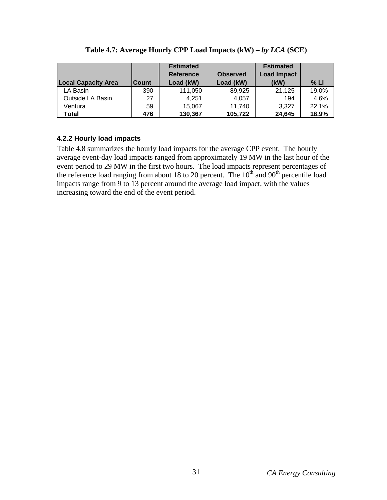| <b>Local Capacity Area</b> | Count | <b>Estimated</b><br><b>Reference</b><br>Load (kW) | <b>Observed</b><br>Load (kW) | <b>Estimated</b><br><b>Load Impact</b><br>(kW) | % LI  |
|----------------------------|-------|---------------------------------------------------|------------------------------|------------------------------------------------|-------|
| LA Basin                   | 390   | 111,050                                           | 89,925                       | 21,125                                         | 19.0% |
| Outside LA Basin           | 27    | 4.251                                             | 4.057                        | 194                                            | 4.6%  |
| Ventura                    | 59    | 15.067                                            | 11,740                       | 3.327                                          | 22.1% |
| Total                      | 476   | 130,367                                           | 105,722                      | 24,645                                         | 18.9% |

Table 4.7: Average Hourly CPP Load Impacts (kW) – *by LCA* (SCE)

## **4.2.2 Hourly load impacts**

Table 4.8 summarizes the hourly load impacts for the average CPP event. The hourly average event-day load impacts ranged from approximately 19 MW in the last hour of the event period to 29 MW in the first two hours. The load impacts represent percentages of the reference load ranging from about 18 to 20 percent. The  $10<sup>th</sup>$  and  $90<sup>th</sup>$  percentile load impacts range from 9 to 13 percent around the average load impact, with the values increasing toward the end of the event period.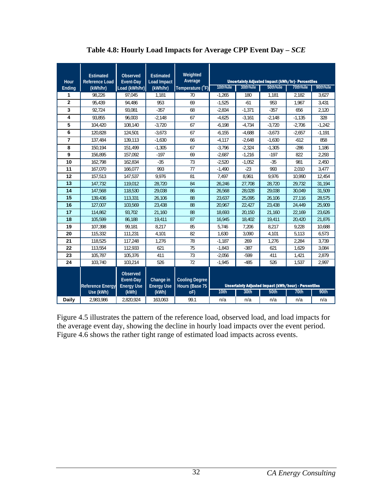| Hour           | <b>Estimated</b><br><b>Reference Load</b> | <b>Observed</b><br>Event-Day               | <b>Estimated</b><br><b>Load Impact</b> | Weighted<br>Average                     |          |          | <b>Uncertainty Adjusted Impact (kWh/hr)- Percentiles</b> |          |          |
|----------------|-------------------------------------------|--------------------------------------------|----------------------------------------|-----------------------------------------|----------|----------|----------------------------------------------------------|----------|----------|
| Ending         | (kWh/hr)                                  | Load (kWh/hr)                              | (kWh/hr)                               | Temperature (°F)                        | 10th%ile | 30th%ile | 50th%ile                                                 | 70th%ile | 90th%ile |
| 1              | 98,226                                    | 97.045                                     | 1.181                                  | 70                                      | $-1,265$ | 180      | 1.181                                                    | 2,182    | 3,627    |
| $\overline{2}$ | 95.439                                    | 94.486                                     | 953                                    | 69                                      | $-1,525$ | $-61$    | 953                                                      | 1.967    | 3.431    |
| 3              | 92.724                                    | 93.081                                     | $-357$                                 | 68                                      | $-2,834$ | $-1.371$ | $-357$                                                   | 656      | 2,120    |
| 4              | 93.855                                    | 96.003                                     | $-2,148$                               | 67                                      | $-4.625$ | $-3.161$ | $-2,148$                                                 | $-1,135$ | 328      |
| 5              | 104,420                                   | 108,140                                    | $-3,720$                               | 67                                      | $-6,198$ | $-4,734$ | $-3,720$                                                 | $-2,706$ | $-1,242$ |
| 6              | 120.828                                   | 124.501                                    | $-3.673$                               | 67                                      | $-6.155$ | $-4,688$ | $-3.673$                                                 | $-2,657$ | $-1,191$ |
| $\overline{7}$ | 137.484                                   | 139.113                                    | $-1,630$                               | 66                                      | $-4,117$ | $-2,648$ | $-1,630$                                                 | $-612$   | 858      |
| 8              | 150.194                                   | 151,499                                    | $-1,305$                               | 67                                      | $-3,796$ | $-2,324$ | $-1,305$                                                 | $-286$   | 1,186    |
| 9              | 156,895                                   | 157,092                                    | $-197$                                 | 69                                      | $-2,687$ | $-1,216$ | $-197$                                                   | 822      | 2,293    |
| 10             | 162,798                                   | 162,834                                    | $-35$                                  | 73                                      | $-2,520$ | $-1,052$ | $-35$                                                    | 981      | 2,450    |
| 11             | 167,070                                   | 166,077                                    | 993                                    | 77                                      | $-1,490$ | $-23$    | 993                                                      | 2,010    | 3,477    |
| 12             | 157,513                                   | 147,537                                    | 9,976                                  | 81                                      | 7,497    | 8,961    | 9,976                                                    | 10,990   | 12,454   |
| 13             | 147,732                                   | 119,012                                    | 28,720                                 | 84                                      | 26,246   | 27,708   | 28,720                                                   | 29,732   | 31,194   |
| 14             | 147,568                                   | 118,530                                    | 29,038                                 | 86                                      | 26,568   | 28,028   | 29,038                                                   | 30.049   | 31,509   |
| 15             | 139.436                                   | 113.331                                    | 26.106                                 | 88                                      | 23.637   | 25.095   | 26.106                                                   | 27.116   | 28.575   |
| 16             | 127.007                                   | 103.569                                    | 23.438                                 | 88                                      | 20.967   | 22.427   | 23.438                                                   | 24.449   | 25.909   |
| 17             | 114.862                                   | 93.702                                     | 21,160                                 | 88                                      | 18.693   | 20.150   | 21.160                                                   | 22,169   | 23.626   |
| 18             | 105.599                                   | 86.188                                     | 19,411                                 | 87                                      | 16,945   | 18,402   | 19,411                                                   | 20,420   | 21,876   |
| 19             | 107,398                                   | 99.181                                     | 8.217                                  | 85                                      | 5,746    | 7,206    | 8,217                                                    | 9,228    | 10,688   |
| 20             | 115.332                                   | 111.231                                    | 4.101                                  | 82                                      | 1.630    | 3.090    | 4.101                                                    | 5.113    | 6,573    |
| 21             | 118.525                                   | 117.248                                    | 1.276                                  | 78                                      | $-1.187$ | 269      | 1,276                                                    | 2.284    | 3.739    |
| 22             | 113,554                                   | 112.933                                    | 621                                    | 75                                      | $-1.843$ | $-387$   | 621                                                      | 1.629    | 3,084    |
| 23             | 105,787                                   | 105.376                                    | 411                                    | 73                                      | $-2,056$ | $-599$   | 411                                                      | 1,421    | 2.879    |
| 24             | 103,740                                   | 103,214                                    | 526                                    | 72                                      | $-1,945$ | $-485$   | 526                                                      | 1,537    | 2,997    |
|                | <b>Reference Energy</b>                   | Observed<br>Event-Day<br><b>Energy Use</b> | Change in<br><b>Energy Use</b>         | <b>Cooling Degree</b><br>Hours (Base 75 |          |          | Uncertainty Adjusted Impact (kWh/hour) - Percentiles     |          |          |
|                | Use (kWh)                                 | (kWh)                                      | (kWh)                                  | oF                                      | 10th     | 30th     | 50th                                                     | 70th     | 90th     |
| Daily          | 2.983.986                                 | 2.820.924                                  | 163,063                                | 99.1                                    | n/a      | n/a      | n/a                                                      | n/a      | n/a      |

**Table 4.8: Hourly Load Impacts for Average CPP Event Day –** *SCE*

Figure 4.5 illustrates the pattern of the reference load, observed load, and load impacts for the average event day, showing the decline in hourly load impacts over the event period. Figure 4.6 shows the rather tight range of estimated load impacts across events.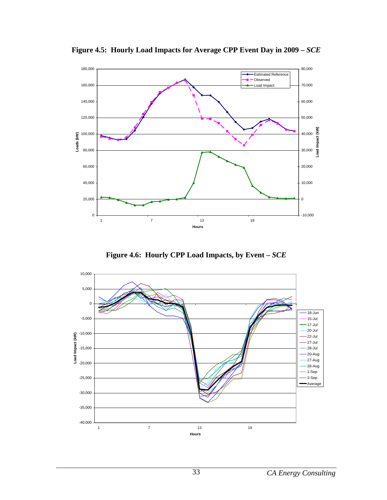

**Figure 4.5: Hourly Load Impacts for Average CPP Event Day in 2009 –** *SCE*

**Figure 4.6: Hourly CPP Load Impacts, by Event –** *SCE*

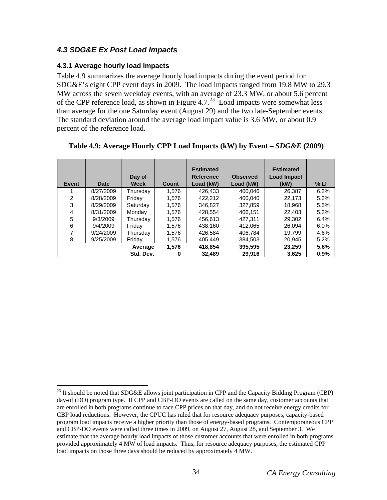# *4.3 SDG&E Ex Post Load Impacts*

## **4.3.1 Average hourly load impacts**

Table 4.9 summarizes the average hourly load impacts during the event period for SDG&E's eight CPP event days in 2009. The load impacts ranged from 19.8 MW to 29.3 MW across the seven weekday events, with an average of 23.3 MW, or about 5.6 percent of the CPP reference load, as shown in Figure 4.7.<sup>[23](#page-40-0)</sup> Load impacts were somewhat less than average for the one Saturday event (August 29) and the two late-September events. The standard deviation around the average load impact value is 3.6 MW, or about 0.9 percent of the reference load.

| Event | <b>Date</b> | Day of<br><b>Week</b> | Count      | <b>Estimated</b><br><b>Reference</b><br>Load (kW) | <b>Observed</b><br>Load (kW) | <b>Estimated</b><br><b>Load Impact</b><br>(kW) | % LI            |
|-------|-------------|-----------------------|------------|---------------------------------------------------|------------------------------|------------------------------------------------|-----------------|
|       | 8/27/2009   | Thursday              | 1.576      | 426.433                                           | 400.046                      | 26.387                                         | 6.2%            |
| 2     | 8/28/2009   | Friday                | 1,576      | 422.212                                           | 400.040                      | 22.173                                         | 5.3%            |
| 3     | 8/29/2009   | Saturdav              | 1.576      | 346.827                                           | 327.859                      | 18.968                                         | 5.5%            |
| 4     | 8/31/2009   | Monday                | 1,576      | 428.554                                           | 406.151                      | 22,403                                         | 5.2%            |
| 5     | 9/3/2009    | Thursday              | 1,576      | 456.613                                           | 427.311                      | 29,302                                         | 6.4%            |
| 6     | 9/4/2009    | Friday                | 1.576      | 438.160                                           | 412.065                      | 26.094                                         | 6.0%            |
| 7     | 9/24/2009   | Thursday              | 1,576      | 426.584                                           | 406.784                      | 19.799                                         | 4.6%            |
| 8     | 9/25/2009   | Friday                | 1,576      | 405.449                                           | 384,503                      | 20,945                                         | 5.2%            |
|       |             | Average<br>Std. Dev.  | 1.576<br>0 | 418.854<br>32,489                                 | 395,595<br>29,916            | 23,259<br>3,625                                | 5.6%<br>$0.9\%$ |

| Table 4.9: Average Hourly CPP Load Impacts (kW) by Event $-SDG\&E$ (2009) |  |  |
|---------------------------------------------------------------------------|--|--|
|                                                                           |  |  |

<span id="page-40-0"></span><sup>1</sup> <sup>23</sup> It should be noted that SDG&E allows joint participation in CPP and the Capacity Bidding Program (CBP) day-of (DO) program type. If CPP and CBP-DO events are called on the same day, customer accounts that are enrolled in both programs continue to face CPP prices on that day, and do not receive energy credits for CBP load reductions. However, the CPUC has ruled that for resource adequacy purposes, capacity-based program load impacts receive a higher priority than those of energy-based programs. Contemporaneous CPP and CBP-DO events were called three times in 2009, on August 27, August 28, and September 3. We estimate that the average hourly load impacts of those customer accounts that were enrolled in both programs provided approximately 4 MW of load impacts. Thus, for resource adequacy purposes, the estimated CPP load impacts on those three days should be reduced by approximately 4 MW.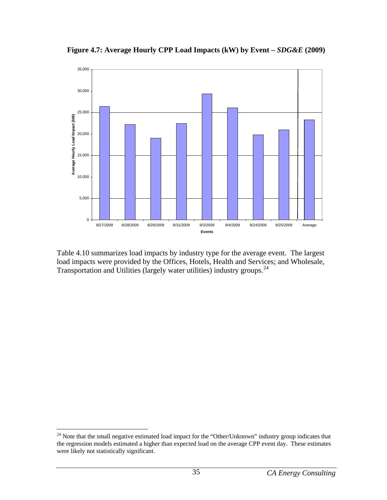

**Figure 4.7: Average Hourly CPP Load Impacts (kW) by Event –** *SDG&E* **(2009)** 

Table 4.10 summarizes load impacts by industry type for the average event. The largest load impacts were provided by the Offices, Hotels, Health and Services; and Wholesale, Transportation and Utilities (largely water utilities) industry groups.[24](#page-41-0)

 $\overline{a}$ 

<span id="page-41-0"></span> $24$  Note that the small negative estimated load impact for the "Other/Unknown" industry group indicates that the regression models estimated a higher than expected load on the average CPP event day. These estimates were likely not statistically significant.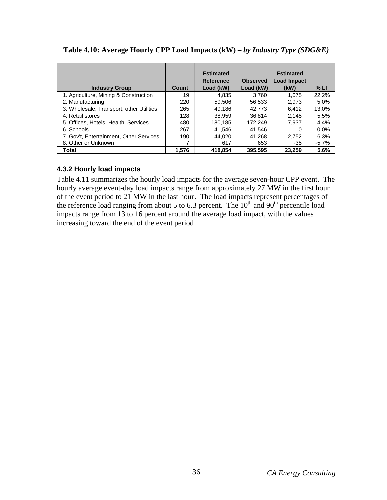| <b>Industry Group</b>                    | Count | <b>Estimated</b><br><b>Reference</b><br>Load (kW) | <b>Observed</b><br>Load (kW) | <b>Estimated</b><br>Load Impact<br>(kW) | % LI    |
|------------------------------------------|-------|---------------------------------------------------|------------------------------|-----------------------------------------|---------|
| 1. Agriculture, Mining & Construction    | 19    | 4.835                                             | 3.760                        | 1,075                                   | 22.2%   |
| 2. Manufacturing                         | 220   | 59.506                                            | 56.533                       | 2,973                                   | 5.0%    |
| 3. Wholesale, Transport, other Utilities | 265   | 49.186                                            | 42.773                       | 6,412                                   | 13.0%   |
| 4. Retail stores                         | 128   | 38.959                                            | 36.814                       | 2,145                                   | 5.5%    |
| 5. Offices, Hotels, Health, Services     | 480   | 180.185                                           | 172.249                      | 7.937                                   | 4.4%    |
| 6. Schools                               | 267   | 41.546                                            | 41.546                       | 0                                       | $0.0\%$ |
| 7. Gov't, Entertainment, Other Services  | 190   | 44.020                                            | 41.268                       | 2,752                                   | 6.3%    |
| 8. Other or Unknown                      |       | 617                                               | 653                          | $-35$                                   | -5.7%   |
| Total                                    | 1,576 | 418.854                                           | 395.595                      | 23,259                                  | 5.6%    |

**Table 4.10: Average Hourly CPP Load Impacts (kW) –** *by Industry Type (SDG&E)*

## **4.3.2 Hourly load impacts**

Table 4.11 summarizes the hourly load impacts for the average seven-hour CPP event. The hourly average event-day load impacts range from approximately 27 MW in the first hour of the event period to 21 MW in the last hour. The load impacts represent percentages of the reference load ranging from about 5 to 6.3 percent. The  $10<sup>th</sup>$  and  $90<sup>th</sup>$  percentile load impacts range from 13 to 16 percent around the average load impact, with the values increasing toward the end of the event period.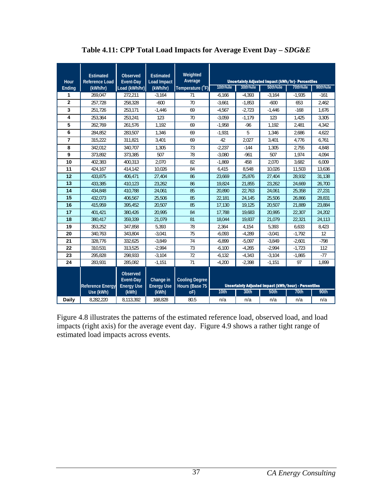| <b>Hour</b>    | <b>Estimated</b><br><b>Reference Load</b> | <b>Observed</b><br>Event-Day               | <b>Estimated</b><br><b>Load Impact</b> | Weighted<br>Average                     |                  |          | Uncertainty Adjusted Impact (kWh/hr)- Percentiles           |          |          |
|----------------|-------------------------------------------|--------------------------------------------|----------------------------------------|-----------------------------------------|------------------|----------|-------------------------------------------------------------|----------|----------|
| Ending         | (kWh/hr)                                  | Load (kWh/hr)                              | (kWh/hr)                               | Temperature (°F)                        | 10th%ile         | 30th%ile | 50th%ile                                                    | 70th%ile | 90th%ile |
| 1              | 269.047                                   | 272.211                                    | $-3.164$                               | 71                                      | $-6.166$         | $-4.393$ | $-3.164$                                                    | $-1.935$ | $-161$   |
| $\overline{2}$ | 257,728                                   | 258,328                                    | $-600$                                 | 70                                      | $-3,661$         | $-1,853$ | $-600$                                                      | 653      | 2,462    |
| 3              | 251.726                                   | 253,171                                    | $-1,446$                               | 69                                      | $-4,567$         | $-2.723$ | $-1,446$                                                    | $-168$   | 1,676    |
| 4              | 253,364                                   | 253,241                                    | 123                                    | 70                                      | $-3,059$         | $-1.179$ | 123                                                         | 1,425    | 3,305    |
| 5              | 262.769                                   | 261,576                                    | 1,192                                  | 69                                      | $-1,958$         | $-96$    | 1,192                                                       | 2,481    | 4,342    |
| 6              | 284.852                                   | 283.507                                    | 1.346                                  | 69                                      | $-1,931$         | 5        | 1.346                                                       | 2.686    | 4.622    |
| 7              | 315.222                                   | 311,821                                    | 3,401                                  | 69                                      | 42               | 2.027    | 3,401                                                       | 4,776    | 6,761    |
| 8              | 342.012                                   | 340.707                                    | 1.305                                  | 73                                      | $-2,237$         | $-144$   | 1.305                                                       | 2.755    | 4.848    |
| 9              | 373.892                                   | 373,385                                    | 507                                    | 78                                      | $-3,080$         | $-961$   | 507                                                         | 1,974    | 4,094    |
| 10             | 402,383                                   | 400,313                                    | 2.070                                  | 82                                      | $-1,869$         | 458      | 2.070                                                       | 3,682    | 6.009    |
| 11             | 424.167                                   | 414.142                                    | 10.026                                 | 84                                      | 6,415            | 8.548    | 10.026                                                      | 11.503   | 13.636   |
| 12             | 433.875                                   | 406,471                                    | 27,404                                 | 86                                      | 23,669           | 25.876   | 27,404                                                      | 28.932   | 31.138   |
| 13             | 433.385                                   | 410.123                                    | 23.262                                 | 86                                      | 19.824           | 21.855   | 23.262                                                      | 24.669   | 26.700   |
| 14             | 434,848                                   | 410,788                                    | 24,061                                 | 85                                      | 20,890           | 22,763   | 24,061                                                      | 25.358   | 27,231   |
| 15             | 432.073                                   | 406.567                                    | 25.506                                 | 85                                      | 22,181           | 24,145   | 25.506                                                      | 26.866   | 28.831   |
| 16             | 415.959                                   | 395,452                                    | 20,507                                 | 85                                      | 17,130           | 19,125   | 20,507                                                      | 21,889   | 23,884   |
| 17             | 401,421                                   | 380.426                                    | 20.995                                 | 84                                      | 17,788           | 19,683   | 20,995                                                      | 22,307   | 24,202   |
| 18             | 380.417                                   | 359,339                                    | 21,079                                 | 81                                      | 18,044           | 19,837   | 21,079                                                      | 22,321   | 24,113   |
| 19             | 353,252                                   | 347,858                                    | 5,393                                  | 78                                      | 2,364            | 4,154    | 5,393                                                       | 6,633    | 8,423    |
| 20             | 340,763                                   | 343,804                                    | $-3,041$                               | 75                                      | $-6,093$         | $-4,289$ | $-3,041$                                                    | $-1,792$ | 12       |
| 21             | 328.776                                   | 332,625                                    | $-3,849$                               | 74                                      | $-6,899$         | $-5,097$ | $-3,849$                                                    | $-2,601$ | $-798$   |
| 22             | 310.531                                   | 313,525                                    | $-2.994$                               | 73                                      | $-6,100$         | $-4,265$ | $-2,994$                                                    | $-1,723$ | 112      |
| 23             | 295.828                                   | 298,933                                    | $-3,104$                               | 72                                      | $-6,132$         | $-4,343$ | $-3,104$                                                    | $-1,865$ | $-77$    |
| 24             | 283.931                                   | 285.082                                    | $-1,151$                               | 71                                      | $-4,200$         | $-2.398$ | $-1,151$                                                    | 97       | 1.899    |
|                | <b>Reference Energy</b>                   | Observed<br>Event-Day<br><b>Energy Use</b> | Change in<br><b>Energy Use</b>         | <b>Cooling Degree</b><br>Hours (Base 75 |                  |          | <b>Uncertainty Adjusted Impact (kWh/hour) - Percentiles</b> |          |          |
|                | Use (kWh)                                 | (kWh)                                      | (kWh)                                  | oF)                                     | 10 <sub>th</sub> | 30th     | <b>50th</b>                                                 | 70th     | 90th     |
| Daily          | 8,282,220                                 | 8,113,392                                  | 168,828                                | 80.5                                    | n/a              | n/a      | n/a                                                         | n/a      | n/a      |

## Table 4.11: CPP Total Load Impacts for Average Event Day -  $SDG\&E$

Figure 4.8 illustrates the patterns of the estimated reference load, observed load, and load impacts (right axis) for the average event day. Figure 4.9 shows a rather tight range of estimated load impacts across events.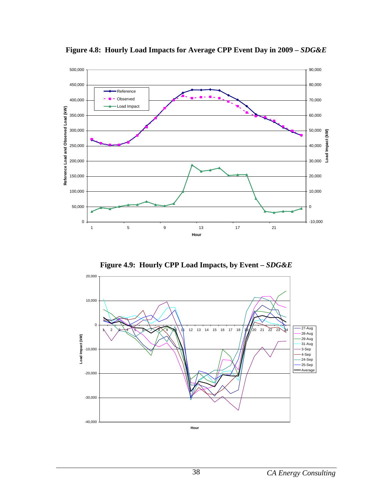

**Figure 4.8: Hourly Load Impacts for Average CPP Event Day in 2009 –** *SDG&E*

**Figure 4.9: Hourly CPP Load Impacts, by Event –** *SDG&E* 

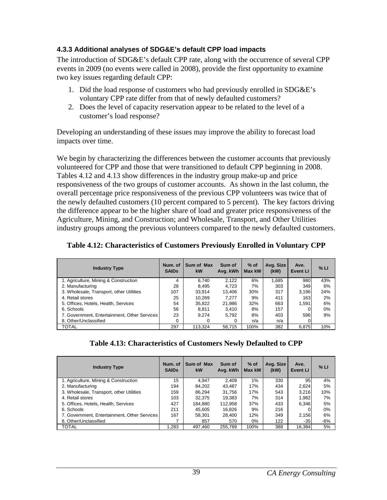### **4.3.3 Additional analyses of SDG&E's default CPP load impacts**

The introduction of SDG&E's default CPP rate, along with the occurrence of several CPP events in 2009 (no events were called in 2008), provide the first opportunity to examine two key issues regarding default CPP:

- 1. Did the load response of customers who had previously enrolled in SDG&E's voluntary CPP rate differ from that of newly defaulted customers?
- 2. Does the level of capacity reservation appear to be related to the level of a customer's load response?

Developing an understanding of these issues may improve the ability to forecast load impacts over time.

We begin by characterizing the differences between the customer accounts that previously volunteered for CPP and those that were transitioned to default CPP beginning in 2008. Tables 4.12 and 4.13 show differences in the industry group make-up and price responsiveness of the two groups of customer accounts. As shown in the last column, the overall percentage price responsiveness of the previous CPP volunteers was twice that of the newly defaulted customers (10 percent compared to 5 percent). The key factors driving the difference appear to be the higher share of load and greater price responsiveness of the Agriculture, Mining, and Construction; and Wholesale, Transport, and Other Utilities industry groups among the previous volunteers compared to the newly defaulted customers.

|  | Table 4.12: Characteristics of Customers Previously Enrolled in Voluntary CPP |  |  |  |  |
|--|-------------------------------------------------------------------------------|--|--|--|--|
|--|-------------------------------------------------------------------------------|--|--|--|--|

| <b>Industry Type</b>                         | Num. of<br><b>SAIDS</b> | Sum of Max<br>kW | Sum of<br>Avg. kWh | $%$ of<br>Max kW | Avg. Size<br>(kW) | Ave.<br><b>Event LI</b> | % LI |
|----------------------------------------------|-------------------------|------------------|--------------------|------------------|-------------------|-------------------------|------|
| 1. Agriculture, Mining & Construction        | 4                       | 6.740            | 2,122              | 6%               | 1,685             | 980                     | 43%  |
| 2. Manufacturing                             | 28                      | 8.495            | 4,723              | 7%               | 303               | 349                     | 6%   |
| 3. Wholesale, Transport, other Utilities     | 107                     | 33.914           | 13,406             | 30%              | 317               | 3.196                   | 24%  |
| 4. Retail stores                             | 25                      | 10.269           | 7.277              | 9%               | 411               | 163                     | 2%   |
| 5. Offices, Hotels, Health, Services         | 54                      | 35,822           | 21,986             | 32%              | 663               | 1.591                   | 6%   |
| 6. Schools                                   | 56                      | 8.811            | 3,410              | 8%               | 157               |                         | 0%   |
| 7. Government, Entertainment, Other Services | 23                      | 9.274            | 5,792              | 8%               | 403               | 596                     | 9%   |
| 8. Other/Unclassified                        | 0                       | O                | 0                  | n/a              | n/a               |                         |      |
| <b>TOTAL</b>                                 | 297                     | 113.324          | 58,715             | 100%             | 382               | 6,875                   | 10%  |

| <b>Industry Type</b>                         | Num. of<br><b>SAIDs</b> | Sum of Max<br>kW | Sum of<br>Avg. kWh | $%$ of<br>Max kW | Avg. Size<br>(kW) | Ave.<br><b>Event LI</b> | % LI  |
|----------------------------------------------|-------------------------|------------------|--------------------|------------------|-------------------|-------------------------|-------|
| 1. Agriculture, Mining & Construction        | 15                      | 4.947            | 2.409              | $1\%$            | 330               | 95                      | 4%    |
| 2. Manufacturing                             | 194                     | 84.202           | 43.487             | 17%              | 434               | 2,624                   | 5%    |
| 3. Wholesale, Transport, other Utilities     | 159                     | 86.294           | 31.756             | 17%              | 543               | 3,216                   | 10%   |
| 4. Retail stores                             | 103                     | 32.375           | 19.383             | 7%               | 314               | 1.982                   | 7%    |
| 5. Offices, Hotels, Health, Services         | 427                     | 184.880          | 112.958            | 37%              | 433               | 6.346                   | 5%    |
| 6. Schools                                   | 211                     | 45.605           | 16.826             | 9%               | 216               |                         | 0%    |
| 7. Government. Entertainment. Other Services | 167                     | 58.301           | 28.400             | 12%              | 349               | 2,156                   | 6%    |
| 8. Other/Unclassified                        |                         | 857              | 570                | $0\%$            | 122               | $-35$                   | $-6%$ |
| TOTAL                                        | 1.283                   | 497.460          | 255.789            | 100%             | 388               | 16.384                  | 5%    |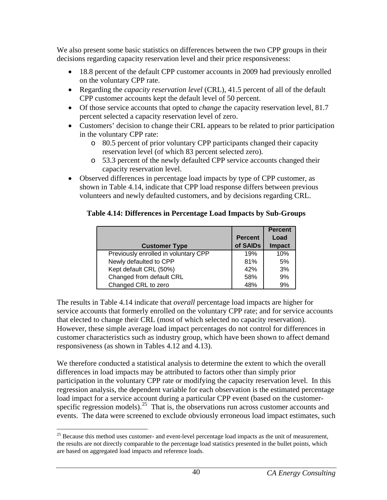We also present some basic statistics on differences between the two CPP groups in their decisions regarding capacity reservation level and their price responsiveness:

- 18.8 percent of the default CPP customer accounts in 2009 had previously enrolled on the voluntary CPP rate.
- Regarding the *capacity reservation level* (CRL), 41.5 percent of all of the default CPP customer accounts kept the default level of 50 percent.
- Of those service accounts that opted to *change* the capacity reservation level, 81.7 percent selected a capacity reservation level of zero.
- Customers' decision to change their CRL appears to be related to prior participation in the voluntary CPP rate:
	- o 80.5 percent of prior voluntary CPP participants changed their capacity reservation level (of which 83 percent selected zero).
	- o 53.3 percent of the newly defaulted CPP service accounts changed their capacity reservation level.
- Observed differences in percentage load impacts by type of CPP customer, as shown in Table 4.14, indicate that CPP load response differs between previous volunteers and newly defaulted customers, and by decisions regarding CRL.

### **Table 4.14: Differences in Percentage Load Impacts by Sub-Groups**

|                                      |                | <b>Percent</b> |
|--------------------------------------|----------------|----------------|
|                                      | <b>Percent</b> | Load           |
| <b>Customer Type</b>                 | of SAIDs       | <b>Impact</b>  |
| Previously enrolled in voluntary CPP | 19%            | 10%            |
| Newly defaulted to CPP               | 81%            | 5%             |
| Kept default CRL (50%)               | 42%            | 3%             |
| Changed from default CRL             | 58%            | 9%             |
| Changed CRL to zero                  | 48%            | 9%             |

The results in Table 4.14 indicate that *overall* percentage load impacts are higher for service accounts that formerly enrolled on the voluntary CPP rate; and for service accounts that elected to change their CRL (most of which selected no capacity reservation). However, these simple average load impact percentages do not control for differences in customer characteristics such as industry group, which have been shown to affect demand responsiveness (as shown in Tables 4.12 and 4.13).

We therefore conducted a statistical analysis to determine the extent to which the overall differences in load impacts may be attributed to factors other than simply prior participation in the voluntary CPP rate or modifying the capacity reservation level. In this regression analysis, the dependent variable for each observation is the estimated percentage load impact for a service account during a particular CPP event (based on the customer-specific regression models).<sup>[25](#page-46-0)</sup> That is, the observations run across customer accounts and events. The data were screened to exclude obviously erroneous load impact estimates, such

<span id="page-46-0"></span> $\overline{a}$ <sup>25</sup> Because this method uses customer- and event-level percentage load impacts as the unit of measurement, the results are not directly comparable to the percentage load statistics presented in the bullet points, which are based on aggregated load impacts and reference loads.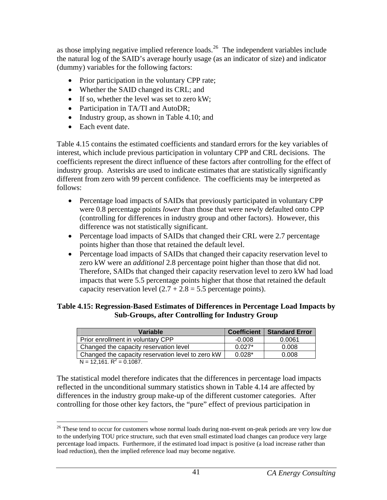as those implying negative implied reference loads.<sup>[26](#page-47-0)</sup> The independent variables include the natural log of the SAID's average hourly usage (as an indicator of size) and indicator (dummy) variables for the following factors:

- Prior participation in the voluntary CPP rate;
- Whether the SAID changed its CRL; and
- If so, whether the level was set to zero kW;
- Participation in TA/TI and AutoDR;
- Industry group, as shown in Table 4.10; and
- Each event date.

Table 4.15 contains the estimated coefficients and standard errors for the key variables of interest, which include previous participation in voluntary CPP and CRL decisions. The coefficients represent the direct influence of these factors after controlling for the effect of industry group. Asterisks are used to indicate estimates that are statistically significantly different from zero with 99 percent confidence. The coefficients may be interpreted as follows:

- Percentage load impacts of SAIDs that previously participated in voluntary CPP were 0.8 percentage points *lower* than those that were newly defaulted onto CPP (controlling for differences in industry group and other factors). However, this difference was not statistically significant.
- Percentage load impacts of SAIDs that changed their CRL were 2.7 percentage points higher than those that retained the default level.
- Percentage load impacts of SAIDs that changed their capacity reservation level to zero kW were an *additional* 2.8 percentage point higher than those that did not. Therefore, SAIDs that changed their capacity reservation level to zero kW had load impacts that were 5.5 percentage points higher that those that retained the default capacity reservation level  $(2.7 + 2.8 = 5.5$  percentage points).

### **Table 4.15: Regression-Based Estimates of Differences in Percentage Load Impacts by Sub-Groups, after Controlling for Industry Group**

| <b>Variable</b>                                   | <b>Coefficient</b> | <b>Standard Error</b> |
|---------------------------------------------------|--------------------|-----------------------|
| Prior enrollment in voluntary CPP                 | $-0.008$           | 0.0061                |
| Changed the capacity reservation level            | $0.027*$           | 0.008                 |
| Changed the capacity reservation level to zero kW | $0.028*$           | 0.008                 |
| $N = 12,161. R2 = 0.1087.$                        |                    |                       |

The statistical model therefore indicates that the differences in percentage load impacts reflected in the unconditional summary statistics shown in Table 4.14 are affected by differences in the industry group make-up of the different customer categories. After controlling for those other key factors, the "pure" effect of previous participation in

<span id="page-47-0"></span> $\overline{a}$  $26$  These tend to occur for customers whose normal loads during non-event on-peak periods are very low due to the underlying TOU price structure, such that even small estimated load changes can produce very large percentage load impacts. Furthermore, if the estimated load impact is positive (a load increase rather than load reduction), then the implied reference load may become negative.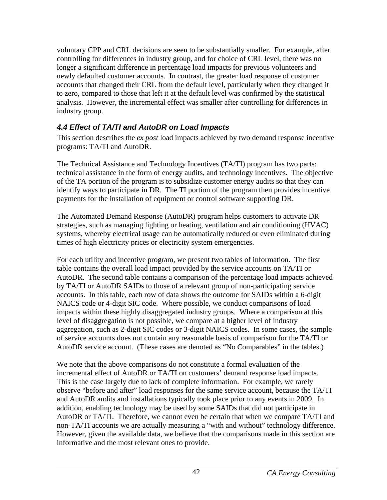voluntary CPP and CRL decisions are seen to be substantially smaller. For example, after controlling for differences in industry group, and for choice of CRL level, there was no longer a significant difference in percentage load impacts for previous volunteers and newly defaulted customer accounts. In contrast, the greater load response of customer accounts that changed their CRL from the default level, particularly when they changed it to zero, compared to those that left it at the default level was confirmed by the statistical analysis. However, the incremental effect was smaller after controlling for differences in industry group.

# *4.4 Effect of TA/TI and AutoDR on Load Impacts*

This section describes the *ex post* load impacts achieved by two demand response incentive programs: TA/TI and AutoDR.

The Technical Assistance and Technology Incentives (TA/TI) program has two parts: technical assistance in the form of energy audits, and technology incentives. The objective of the TA portion of the program is to subsidize customer energy audits so that they can identify ways to participate in DR. The TI portion of the program then provides incentive payments for the installation of equipment or control software supporting DR.

The Automated Demand Response (AutoDR) program helps customers to activate DR strategies, such as managing lighting or heating, ventilation and air conditioning (HVAC) systems, whereby electrical usage can be automatically reduced or even eliminated during times of high electricity prices or electricity system emergencies.

For each utility and incentive program, we present two tables of information. The first table contains the overall load impact provided by the service accounts on TA/TI or AutoDR. The second table contains a comparison of the percentage load impacts achieved by TA/TI or AutoDR SAIDs to those of a relevant group of non-participating service accounts. In this table, each row of data shows the outcome for SAIDs within a 6-digit NAICS code or 4-digit SIC code. Where possible, we conduct comparisons of load impacts within these highly disaggregated industry groups. Where a comparison at this level of disaggregation is not possible, we compare at a higher level of industry aggregation, such as 2-digit SIC codes or 3-digit NAICS codes. In some cases, the sample of service accounts does not contain any reasonable basis of comparison for the TA/TI or AutoDR service account. (These cases are denoted as "No Comparables" in the tables.)

We note that the above comparisons do not constitute a formal evaluation of the incremental effect of AutoDR or TA/TI on customers' demand response load impacts. This is the case largely due to lack of complete information. For example, we rarely observe "before and after" load responses for the same service account, because the TA/TI and AutoDR audits and installations typically took place prior to any events in 2009. In addition, enabling technology may be used by some SAIDs that did not participate in AutoDR or TA/TI. Therefore, we cannot even be certain that when we compare TA/TI and non-TA/TI accounts we are actually measuring a "with and without" technology difference. However, given the available data, we believe that the comparisons made in this section are informative and the most relevant ones to provide.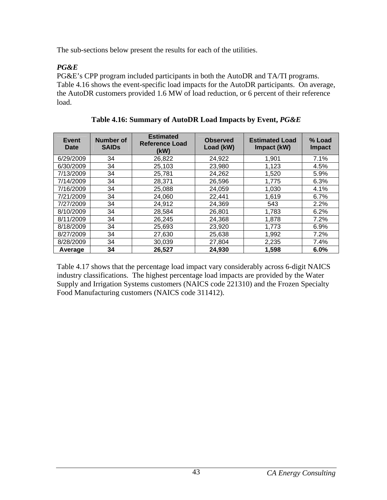The sub-sections below present the results for each of the utilities.

# *PG&E*

PG&E's CPP program included participants in both the AutoDR and TA/TI programs. Table 4.16 shows the event-specific load impacts for the AutoDR participants. On average, the AutoDR customers provided 1.6 MW of load reduction, or 6 percent of their reference load.

| Event<br>Date | Number of<br><b>SAIDS</b> | <b>Estimated</b><br>Reference Load<br>(kW) | <b>Observed</b><br>Load (kW) | <b>Estimated Load</b><br>Impact (kW) | % Load<br><b>Impact</b> |
|---------------|---------------------------|--------------------------------------------|------------------------------|--------------------------------------|-------------------------|
| 6/29/2009     | 34                        | 26,822                                     | 24,922                       | 1.901                                | 7.1%                    |
| 6/30/2009     | 34                        | 25,103                                     | 23,980                       | 1,123                                | 4.5%                    |
| 7/13/2009     | 34                        | 25,781                                     | 24,262                       | 1.520                                | 5.9%                    |
| 7/14/2009     | 34                        | 28,371                                     | 26,596                       | 1,775                                | 6.3%                    |
| 7/16/2009     | 34                        | 25,088                                     | 24,059                       | 1,030                                | 4.1%                    |
| 7/21/2009     | 34                        | 24,060                                     | 22,441                       | 1,619                                | 6.7%                    |
| 7/27/2009     | 34                        | 24,912                                     | 24,369                       | 543                                  | 2.2%                    |
| 8/10/2009     | 34                        | 28,584                                     | 26,801                       | 1,783                                | 6.2%                    |
| 8/11/2009     | 34                        | 26,245                                     | 24,368                       | 1,878                                | 7.2%                    |
| 8/18/2009     | 34                        | 25,693                                     | 23.920                       | 1.773                                | 6.9%                    |
| 8/27/2009     | 34                        | 27,630                                     | 25,638                       | 1,992                                | 7.2%                    |
| 8/28/2009     | 34                        | 30.039                                     | 27,804                       | 2,235                                | 7.4%                    |
| Average       | 34                        | 26,527                                     | 24.930                       | 1.598                                | 6.0%                    |

**Table 4.16: Summary of AutoDR Load Impacts by Event,** *PG&E*

Table 4.17 shows that the percentage load impact vary considerably across 6-digit NAICS industry classifications. The highest percentage load impacts are provided by the Water Supply and Irrigation Systems customers (NAICS code 221310) and the Frozen Specialty Food Manufacturing customers (NAICS code 311412).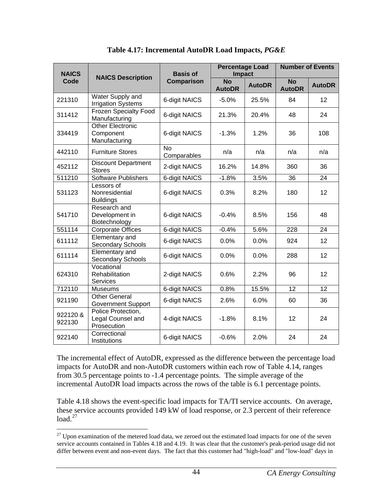| <b>NAICS</b>       |                                                        | <b>Basis of</b>          |                            | <b>Percentage Load</b><br><b>Impact</b> |                            | <b>Number of Events</b> |  |
|--------------------|--------------------------------------------------------|--------------------------|----------------------------|-----------------------------------------|----------------------------|-------------------------|--|
| Code               | <b>NAICS Description</b>                               | Comparison               | <b>No</b><br><b>AutoDR</b> | <b>AutoDR</b>                           | <b>No</b><br><b>AutoDR</b> | <b>AutoDR</b>           |  |
| 221310             | Water Supply and<br><b>Irrigation Systems</b>          | 6-digit NAICS            | $-5.0%$                    | 25.5%                                   | 84                         | 12                      |  |
| 311412             | <b>Frozen Specialty Food</b><br>Manufacturing          | 6-digit NAICS            | 21.3%                      | 20.4%                                   | 48                         | 24                      |  |
| 334419             | <b>Other Electronic</b><br>Component<br>Manufacturing  | 6-digit NAICS            | $-1.3%$                    | 1.2%                                    | 36                         | 108                     |  |
| 442110             | <b>Furniture Stores</b>                                | <b>No</b><br>Comparables | n/a                        | n/a                                     | n/a                        | n/a                     |  |
| 452112             | <b>Discount Department</b><br><b>Stores</b>            | 2-digit NAICS            | 16.2%                      | 14.8%                                   | 360                        | 36                      |  |
| 511210             | Software Publishers                                    | <b>6-digit NAICS</b>     | $-1.8%$                    | 3.5%                                    | 36                         | 24                      |  |
| 531123             | Lessors of<br>Nonresidential<br><b>Buildings</b>       | 6-digit NAICS            | 0.3%                       | 8.2%                                    | 180                        | 12                      |  |
| 541710             | Research and<br>Development in<br>Biotechnology        | 6-digit NAICS            | $-0.4%$                    | 8.5%                                    | 156                        | 48                      |  |
| 551114             | <b>Corporate Offices</b>                               | 6-digit NAICS            | $-0.4%$                    | 5.6%                                    | 228                        | 24                      |  |
| 611112             | Elementary and<br>Secondary Schools                    | 6-digit NAICS            | 0.0%                       | 0.0%                                    | 924                        | 12                      |  |
| 611114             | <b>Elementary and</b><br>Secondary Schools             | 6-digit NAICS            | 0.0%                       | 0.0%                                    | 288                        | 12                      |  |
| 624310             | Vocational<br>Rehabilitation<br><b>Services</b>        | 2-digit NAICS            | 0.6%                       | 2.2%                                    | 96                         | 12                      |  |
| 712110             | <b>Museums</b>                                         | 6-digit NAICS            | 0.8%                       | 15.5%                                   | 12                         | 12                      |  |
| 921190             | <b>Other General</b><br><b>Government Support</b>      | 6-digit NAICS            | 2.6%                       | 6.0%                                    | 60                         | 36                      |  |
| 922120 &<br>922130 | Police Protection,<br>Legal Counsel and<br>Prosecution | 4-digit NAICS            | $-1.8%$                    | 8.1%                                    | 12                         | 24                      |  |
| 922140             | Correctional<br>Institutions                           | 6-digit NAICS            | $-0.6%$                    | 2.0%                                    | 24                         | 24                      |  |

**Table 4.17: Incremental AutoDR Load Impacts,** *PG&E*

The incremental effect of AutoDR, expressed as the difference between the percentage load impacts for AutoDR and non-AutoDR customers within each row of Table 4.14, ranges from 30.5 percentage points to -1.4 percentage points. The simple average of the incremental AutoDR load impacts across the rows of the table is 6.1 percentage points.

Table 4.18 shows the event-specific load impacts for TA/TI service accounts. On average, these service accounts provided 149 kW of load response, or 2.3 percent of their reference  $load.<sup>27</sup>$  $load.<sup>27</sup>$  $load.<sup>27</sup>$ 

<span id="page-50-0"></span><sup>1</sup>  $27$  Upon examination of the metered load data, we zeroed out the estimated load impacts for one of the seven service accounts contained in Tables 4.18 and 4.19. It was clear that the customer's peak-period usage did not differ between event and non-event days. The fact that this customer had "high-load" and "low-load" days in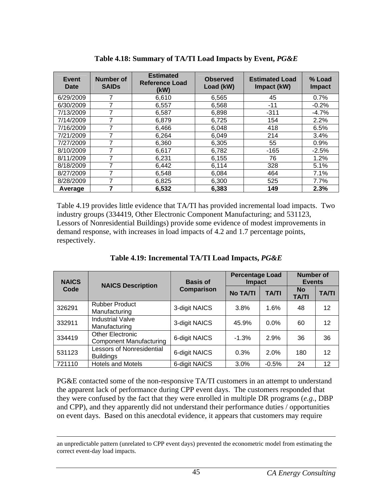| Event<br>Date | Number of<br><b>SAIDs</b> | <b>Estimated</b><br><b>Reference Load</b><br>(kW) | <b>Observed</b><br>Load (kW) | <b>Estimated Load</b><br>Impact (kW) | % Load<br><b>Impact</b> |
|---------------|---------------------------|---------------------------------------------------|------------------------------|--------------------------------------|-------------------------|
| 6/29/2009     |                           | 6,610                                             | 6,565                        | 45                                   | 0.7%                    |
| 6/30/2009     |                           | 6,557                                             | 6,568                        | $-11$                                | $-0.2%$                 |
| 7/13/2009     |                           | 6,587                                             | 6,898                        | $-311$                               | $-4.7\%$                |
| 7/14/2009     |                           | 6,879                                             | 6,725                        | 154                                  | 2.2%                    |
| 7/16/2009     | 7                         | 6,466                                             | 6,048                        | 418                                  | 6.5%                    |
| 7/21/2009     |                           | 6.264                                             | 6,049                        | 214                                  | 3.4%                    |
| 7/27/2009     |                           | 6,360                                             | 6,305                        | 55                                   | 0.9%                    |
| 8/10/2009     | 7                         | 6,617                                             | 6,782                        | $-165$                               | $-2.5%$                 |
| 8/11/2009     |                           | 6,231                                             | 6,155                        | 76                                   | 1.2%                    |
| 8/18/2009     |                           | 6,442                                             | 6,114                        | 328                                  | 5.1%                    |
| 8/27/2009     | 7                         | 6,548                                             | 6,084                        | 464                                  | 7.1%                    |
| 8/28/2009     |                           | 6,825                                             | 6,300                        | 525                                  | 7.7%                    |
| Average       |                           | 6,532                                             | 6.383                        | 149                                  | 2.3%                    |

**Table 4.18: Summary of TA/TI Load Impacts by Event,** *PG&E*

Table 4.19 provides little evidence that TA/TI has provided incremental load impacts. Two industry groups (334419, Other Electronic Component Manufacturing; and 531123, Lessors of Nonresidential Buildings) provide some evidence of modest improvements in demand response, with increases in load impacts of 4.2 and 1.7 percentage points, respectively.

| <b>NAICS</b> | <b>NAICS Description</b>                                  | <b>Basis of</b>   | <b>Percentage Load</b><br><b>Impact</b> |              | <b>Number of</b><br><b>Events</b> |              |
|--------------|-----------------------------------------------------------|-------------------|-----------------------------------------|--------------|-----------------------------------|--------------|
| Code         |                                                           | <b>Comparison</b> | <b>No TA/TI</b>                         | <b>TA/TI</b> | <b>No</b><br><b>TA/TI</b>         | <b>TA/TI</b> |
| 326291       | <b>Rubber Product</b><br>Manufacturing                    | 3-digit NAICS     | 3.8%                                    | 1.6%         | 48                                | 12           |
| 332911       | <b>Industrial Valve</b><br>Manufacturing                  | 3-digit NAICS     | 45.9%                                   | $0.0\%$      | 60                                | 12           |
| 334419       | <b>Other Electronic</b><br><b>Component Manufacturing</b> | 6-digit NAICS     | $-1.3%$                                 | 2.9%         | 36                                | 36           |
| 531123       | <b>Lessors of Nonresidential</b><br><b>Buildings</b>      | 6-digit NAICS     | 0.3%                                    | 2.0%         | 180                               | 12           |
| 721110       | <b>Hotels and Motels</b>                                  | 6-digit NAICS     | 3.0%                                    | $-0.5%$      | 24                                | 12           |

**Table 4.19: Incremental TA/TI Load Impacts,** *PG&E*

PG&E contacted some of the non-responsive TA/TI customers in an attempt to understand the apparent lack of performance during CPP event days. The customers responded that they were confused by the fact that they were enrolled in multiple DR programs (*e.g.*, DBP and CPP), and they apparently did not understand their performance duties / opportunities on event days. Based on this anecdotal evidence, it appears that customers may require

an unpredictable pattern (unrelated to CPP event days) prevented the econometric model from estimating the correct event-day load impacts.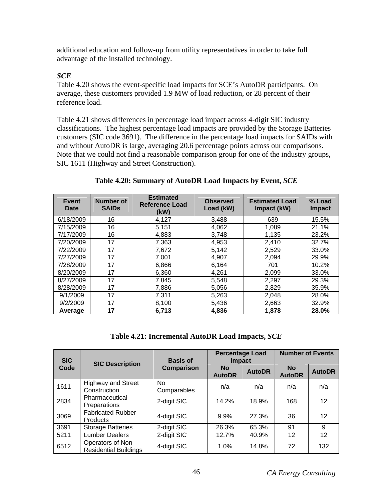additional education and follow-up from utility representatives in order to take full advantage of the installed technology.

### *SCE*

Table 4.20 shows the event-specific load impacts for SCE's AutoDR participants. On average, these customers provided 1.9 MW of load reduction, or 28 percent of their reference load.

Table 4.21 shows differences in percentage load impact across 4-digit SIC industry classifications. The highest percentage load impacts are provided by the Storage Batteries customers (SIC code 3691). The difference in the percentage load impacts for SAIDs with and without AutoDR is large, averaging 20.6 percentage points across our comparisons. Note that we could not find a reasonable comparison group for one of the industry groups, SIC 1611 (Highway and Street Construction).

| Event<br>Date | Number of<br><b>SAIDS</b> | <b>Estimated</b><br><b>Reference Load</b><br>(kW) | <b>Observed</b><br>Load (kW) | <b>Estimated Load</b><br>Impact (kW) | % Load<br><b>Impact</b> |
|---------------|---------------------------|---------------------------------------------------|------------------------------|--------------------------------------|-------------------------|
| 6/18/2009     | 16                        | 4,127                                             | 3,488                        | 639                                  | 15.5%                   |
| 7/15/2009     | 16                        | 5,151                                             | 4,062                        | 1,089                                | 21.1%                   |
| 7/17/2009     | 16                        | 4,883                                             | 3,748                        | 1,135                                | 23.2%                   |
| 7/20/2009     | 17                        | 7,363                                             | 4,953                        | 2,410                                | 32.7%                   |
| 7/22/2009     | 17                        | 7,672                                             | 5,142                        | 2,529                                | 33.0%                   |
| 7/27/2009     | 17                        | 7,001                                             | 4,907                        | 2,094                                | 29.9%                   |
| 7/28/2009     | 17                        | 6,866                                             | 6,164                        | 701                                  | 10.2%                   |
| 8/20/2009     | 17                        | 6,360                                             | 4,261                        | 2,099                                | 33.0%                   |
| 8/27/2009     | 17                        | 7,845                                             | 5,548                        | 2,297                                | 29.3%                   |
| 8/28/2009     | 17                        | 7,886                                             | 5,056                        | 2,829                                | 35.9%                   |
| 9/1/2009      | 17                        | 7,311                                             | 5,263                        | 2,048                                | 28.0%                   |
| 9/2/2009      | 17                        | 8,100                                             | 5,436                        | 2,663                                | 32.9%                   |
| Average       | 17                        | 6,713                                             | 4,836                        | 1,878                                | 28.0%                   |

### **Table 4.20: Summary of AutoDR Load Impacts by Event,** *SCE*

**Table 4.21: Incremental AutoDR Load Impacts,** *SCE*

| <b>SIC</b> | <b>SIC Description</b>                            | <b>Basis of</b>          | <b>Percentage Load</b><br><b>Impact</b> |               | <b>Number of Events</b>    |               |
|------------|---------------------------------------------------|--------------------------|-----------------------------------------|---------------|----------------------------|---------------|
| Code       |                                                   | <b>Comparison</b>        | <b>No</b><br><b>AutoDR</b>              | <b>AutoDR</b> | <b>No</b><br><b>AutoDR</b> | <b>AutoDR</b> |
| 1611       | <b>Highway and Street</b><br>Construction         | <b>No</b><br>Comparables | n/a                                     | n/a           | n/a                        | n/a           |
| 2834       | Pharmaceutical<br>Preparations                    | 2-digit SIC              | 14.2%                                   | 18.9%         | 168                        | 12            |
| 3069       | <b>Fabricated Rubber</b><br><b>Products</b>       | 4-digit SIC              | 9.9%                                    | 27.3%         | 36                         | 12            |
| 3691       | <b>Storage Batteries</b>                          | 2-digit SIC              | 26.3%                                   | 65.3%         | 91                         | 9             |
| 5211       | <b>Lumber Dealers</b>                             | 2-digit SIC              | 12.7%                                   | 40.9%         | 12                         | 12            |
| 6512       | Operators of Non-<br><b>Residential Buildings</b> | 4-digit SIC              | 1.0%                                    | 14.8%         | 72                         | 132           |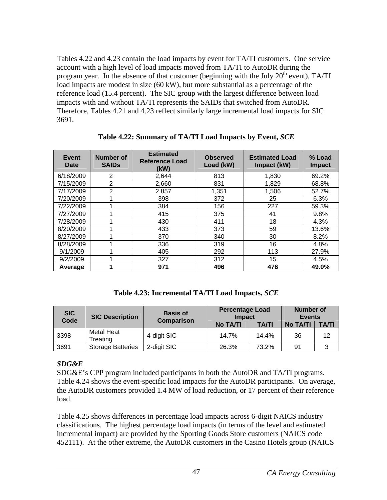Tables 4.22 and 4.23 contain the load impacts by event for TA/TI customers. One service account with a high level of load impacts moved from TA/TI to AutoDR during the program year. In the absence of that customer (beginning with the July  $20<sup>th</sup>$  event), TA/TI load impacts are modest in size (60 kW), but more substantial as a percentage of the reference load (15.4 percent). The SIC group with the largest difference between load impacts with and without TA/TI represents the SAIDs that switched from AutoDR. Therefore, Tables 4.21 and 4.23 reflect similarly large incremental load impacts for SIC 3691.

| Event<br>Date | Number of<br><b>SAIDs</b> | <b>Estimated</b><br><b>Reference Load</b><br>(kW) | <b>Observed</b><br>Load (kW) | <b>Estimated Load</b><br>Impact (kW) | % Load<br><b>Impact</b> |
|---------------|---------------------------|---------------------------------------------------|------------------------------|--------------------------------------|-------------------------|
| 6/18/2009     | 2                         | 2.644                                             | 813                          | 1,830                                | 69.2%                   |
| 7/15/2009     | $\overline{2}$            | 2,660                                             | 831                          | 1,829                                | 68.8%                   |
| 7/17/2009     | 2                         | 2,857                                             | 1,351                        | 1,506                                | 52.7%                   |
| 7/20/2009     |                           | 398                                               | 372                          | 25                                   | 6.3%                    |
| 7/22/2009     |                           | 384                                               | 156                          | 227                                  | 59.3%                   |
| 7/27/2009     |                           | 415                                               | 375                          | 41                                   | 9.8%                    |
| 7/28/2009     |                           | 430                                               | 411                          | 18                                   | 4.3%                    |
| 8/20/2009     |                           | 433                                               | 373                          | 59                                   | 13.6%                   |
| 8/27/2009     |                           | 370                                               | 340                          | 30                                   | 8.2%                    |
| 8/28/2009     |                           | 336                                               | 319                          | 16                                   | 4.8%                    |
| 9/1/2009      |                           | 405                                               | 292                          | 113                                  | 27.9%                   |
| 9/2/2009      |                           | 327                                               | 312                          | 15                                   | 4.5%                    |
| Average       |                           | 971                                               | 496                          | 476                                  | 49.0%                   |

**Table 4.22: Summary of TA/TI Load Impacts by Event,** *SCE*

**Table 4.23: Incremental TA/TI Load Impacts,** *SCE*

| <b>SIC</b><br>Code | <b>SIC Description</b>   | <b>Basis of</b><br><b>Comparison</b> | <b>Percentage Load</b><br><b>Impact</b> |              | Number of<br><b>Events</b> |              |
|--------------------|--------------------------|--------------------------------------|-----------------------------------------|--------------|----------------------------|--------------|
|                    |                          |                                      | No TA/TI                                | <b>TA/TI</b> | No TA/TI                   | <b>TA/TI</b> |
| 3398               | Metal Heat<br>Treating   | 4-digit SIC                          | 14.7%                                   | 14.4%        | 36                         | 12           |
| 3691               | <b>Storage Batteries</b> | 2-digit SIC                          | 26.3%                                   | 73.2%        | 91                         |              |

## *SDG&E*

SDG&E's CPP program included participants in both the AutoDR and TA/TI programs. Table 4.24 shows the event-specific load impacts for the AutoDR participants. On average, the AutoDR customers provided 1.4 MW of load reduction, or 17 percent of their reference load.

Table 4.25 shows differences in percentage load impacts across 6-digit NAICS industry classifications. The highest percentage load impacts (in terms of the level and estimated incremental impact) are provided by the Sporting Goods Store customers (NAICS code 452111). At the other extreme, the AutoDR customers in the Casino Hotels group (NAICS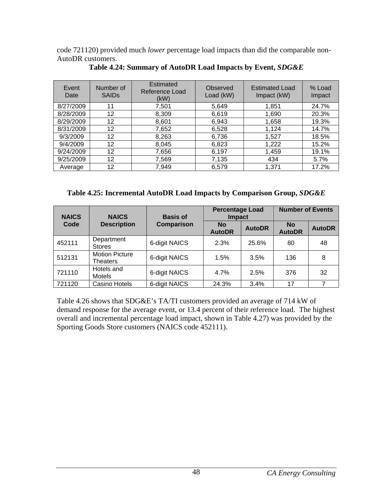code 721120) provided much *lower* percentage load impacts than did the comparable non-AutoDR customers.

| Event<br>Date | Number of<br><b>SAIDs</b> | <b>Estimated</b><br>Reference Load<br>(kW) | Observed<br>Load (kW) | <b>Estimated Load</b><br>Impact (kW) | % Load<br>Impact |
|---------------|---------------------------|--------------------------------------------|-----------------------|--------------------------------------|------------------|
| 8/27/2009     | 11                        | 7,501                                      | 5,649                 | 1,851                                | 24.7%            |
| 8/28/2009     | 12                        | 8,309                                      | 6,619                 | 1,690                                | 20.3%            |
| 8/29/2009     | 12                        | 8,601                                      | 6,943                 | 1,658                                | 19.3%            |
| 8/31/2009     | 12                        | 7,652                                      | 6,528                 | 1,124                                | 14.7%            |
| 9/3/2009      | 12                        | 8,263                                      | 6,736                 | 1,527                                | 18.5%            |
| 9/4/2009      | 12                        | 8,045                                      | 6,823                 | 1,222                                | 15.2%            |
| 9/24/2009     | 12                        | 7,656                                      | 6,197                 | 1,459                                | 19.1%            |
| 9/25/2009     | 12                        | 7,569                                      | 7,135                 | 434                                  | 5.7%             |
| Average       | 12                        | 7,949                                      | 6,579                 | 1,371                                | 17.2%            |

**Table 4.24: Summary of AutoDR Load Impacts by Event,** *SDG&E*

### **Table 4.25: Incremental AutoDR Load Impacts by Comparison Group,** *SDG&E*

| <b>NAICS</b> | <b>NAICS</b>                      | <b>Basis of</b>   | <b>Percentage Load</b><br><b>Impact</b> |               | <b>Number of Events</b>    |               |
|--------------|-----------------------------------|-------------------|-----------------------------------------|---------------|----------------------------|---------------|
| Code         | <b>Description</b>                | <b>Comparison</b> | No<br><b>AutoDR</b>                     | <b>AutoDR</b> | <b>No</b><br><b>AutoDR</b> | <b>AutoDR</b> |
| 452111       | Department<br><b>Stores</b>       | 6-digit NAICS     | 2.3%                                    | 25.6%         | 80                         | 48            |
| 512131       | <b>Motion Picture</b><br>Theaters | 6-digit NAICS     | 1.5%                                    | 3.5%          | 136                        | 8             |
| 721110       | Hotels and<br><b>Motels</b>       | 6-digit NAICS     | 4.7%                                    | 2.5%          | 376                        | 32            |
| 721120       | Casino Hotels                     | 6-digit NAICS     | 24.3%                                   | 3.4%          | 17                         | 7             |

Table 4.26 shows that SDG&E's TA/TI customers provided an average of 714 kW of demand response for the average event, or 13.4 percent of their reference load. The highest overall and incremental percentage load impact, shown in Table 4.27) was provided by the Sporting Goods Store customers (NAICS code 452111).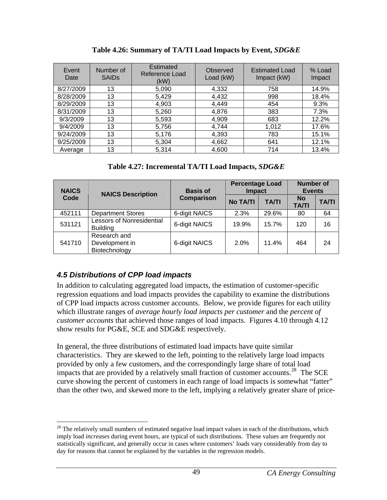| Event<br>Date | Number of<br><b>SAIDs</b> | Estimated<br>Reference Load<br>(KW) | Observed<br>Load (kW) | <b>Estimated Load</b><br>Impact (kW) | % Load<br>Impact |
|---------------|---------------------------|-------------------------------------|-----------------------|--------------------------------------|------------------|
| 8/27/2009     | 13                        | 5,090                               | 4,332                 | 758                                  | 14.9%            |
| 8/28/2009     | 13                        | 5,429                               | 4,432                 | 998                                  | 18.4%            |
| 8/29/2009     | 13                        | 4,903                               | 4,449                 | 454                                  | 9.3%             |
| 8/31/2009     | 13                        | 5,260                               | 4,876                 | 383                                  | 7.3%             |
| 9/3/2009      | 13                        | 5,593                               | 4,909                 | 683                                  | 12.2%            |
| 9/4/2009      | 13                        | 5,756                               | 4,744                 | 1,012                                | 17.6%            |
| 9/24/2009     | 13                        | 5,176                               | 4,393                 | 783                                  | 15.1%            |
| 9/25/2009     | 13                        | 5,304                               | 4,662                 | 641                                  | 12.1%            |
| Average       | 13                        | 5,314                               | 4,600                 | 714                                  | 13.4%            |

**Table 4.26: Summary of TA/TI Load Impacts by Event,** *SDG&E*

**Table 4.27: Incremental TA/TI Load Impacts,** *SDG&E*

| <b>NAICS</b> | <b>NAICS Description</b>                            | <b>Basis of</b> | <b>Percentage Load</b><br><b>Impact</b> |              | <b>Number of</b><br><b>Events</b> |              |
|--------------|-----------------------------------------------------|-----------------|-----------------------------------------|--------------|-----------------------------------|--------------|
| Code         |                                                     | Comparison      | <b>No TA/TI</b>                         | <b>TA/TI</b> | <b>No</b><br><b>TA/TI</b>         | <b>TA/TI</b> |
| 452111       | <b>Department Stores</b>                            | 6-digit NAICS   | 2.3%                                    | 29.6%        | 80                                | 64           |
| 531121       | <b>Lessors of Nonresidential</b><br><b>Building</b> | 6-digit NAICS   | 19.9%                                   | 15.7%        | 120                               | 16           |
| 541710       | Research and<br>Development in<br>Biotechnology     | 6-digit NAICS   | 2.0%                                    | 11.4%        | 464                               | 24           |

# *4.5 Distributions of CPP load impacts*

<u>.</u>

In addition to calculating aggregated load impacts, the estimation of customer-specific regression equations and load impacts provides the capability to examine the distributions of CPP load impacts across customer accounts. Below, we provide figures for each utility which illustrate ranges of *average hourly load impacts per customer* and the *percent of customer accounts* that achieved those ranges of load impacts. Figures 4.10 through 4.12 show results for PG&E, SCE and SDG&E respectively.

In general, the three distributions of estimated load impacts have quite similar characteristics. They are skewed to the left, pointing to the relatively large load impacts provided by only a few customers, and the correspondingly large share of total load impacts that are provided by a relatively small fraction of customer accounts.<sup>[28](#page-55-0)</sup> The SCE curve showing the percent of customers in each range of load impacts is somewhat "fatter" than the other two, and skewed more to the left, implying a relatively greater share of price-

<span id="page-55-0"></span> $2<sup>28</sup>$  The relatively small numbers of estimated negative load impact values in each of the distributions, which imply load *increases* during event hours, are typical of such distributions. These values are frequently not statistically significant, and generally occur in cases where customers' loads vary considerably from day to day for reasons that cannot be explained by the variables in the regression models.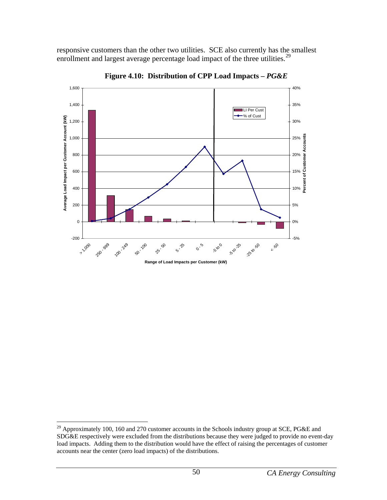responsive customers than the other two utilities. SCE also currently has the smallest enrollment and largest average percentage load impact of the three utilities.<sup>[29](#page-56-0)</sup>



**Figure 4.10: Distribution of CPP Load Impacts –** *PG&E* 

<u>.</u>

<span id="page-56-0"></span><sup>&</sup>lt;sup>29</sup> Approximately 100, 160 and 270 customer accounts in the Schools industry group at SCE, PG&E and SDG&E respectively were excluded from the distributions because they were judged to provide no event-day load impacts. Adding them to the distribution would have the effect of raising the percentages of customer accounts near the center (zero load impacts) of the distributions.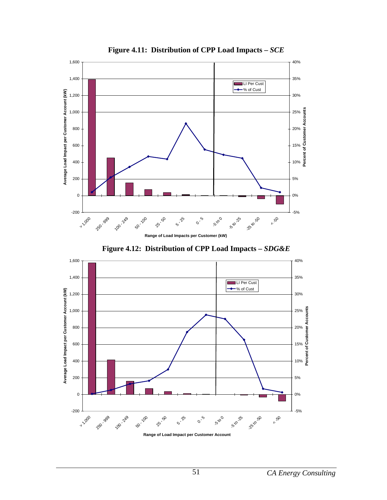

**Figure 4.11: Distribution of CPP Load Impacts –** *SCE* 



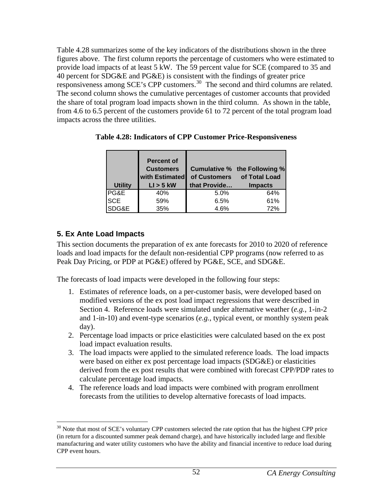Table 4.28 summarizes some of the key indicators of the distributions shown in the three figures above. The first column reports the percentage of customers who were estimated to provide load impacts of at least 5 kW. The 59 percent value for SCE (compared to 35 and 40 percent for SDG&E and PG&E) is consistent with the findings of greater price responsiveness among SCE's CPP customers.[30](#page-58-0) The second and third columns are related. The second column shows the cumulative percentages of customer accounts that provided the share of total program load impacts shown in the third column. As shown in the table, from 4.6 to 6.5 percent of the customers provide 61 to 72 percent of the total program load impacts across the three utilities.

| <b>Utility</b> | <b>Percent of</b><br><b>Customers</b><br>with Estimated<br>$LI > 5$ kW | that Provide | Cumulative % the Following %<br>of Customers of Total Load<br><b>Impacts</b> |
|----------------|------------------------------------------------------------------------|--------------|------------------------------------------------------------------------------|
| PG&E           | 40%                                                                    | 5.0%         | 64%                                                                          |
| <b>SCE</b>     | 59%                                                                    | 6.5%         | 61%                                                                          |
|                |                                                                        |              |                                                                              |

**Table 4.28: Indicators of CPP Customer Price-Responsiveness** 

# **5. Ex Ante Load Impacts**

 $\overline{a}$ 

This section documents the preparation of ex ante forecasts for 2010 to 2020 of reference loads and load impacts for the default non-residential CPP programs (now referred to as Peak Day Pricing, or PDP at PG&E) offered by PG&E, SCE, and SDG&E.

The forecasts of load impacts were developed in the following four steps:

- 1. Estimates of reference loads, on a per-customer basis, were developed based on modified versions of the ex post load impact regressions that were described in Section 4. Reference loads were simulated under alternative weather (*e.g.*, 1-in-2 and 1-in-10) and event-type scenarios (*e.g.*, typical event, or monthly system peak day).
- 2. Percentage load impacts or price elasticities were calculated based on the ex post load impact evaluation results.
- 3. The load impacts were applied to the simulated reference loads. The load impacts were based on either ex post percentage load impacts (SDG&E) or elasticities derived from the ex post results that were combined with forecast CPP/PDP rates to calculate percentage load impacts.
- 4. The reference loads and load impacts were combined with program enrollment forecasts from the utilities to develop alternative forecasts of load impacts.

<span id="page-58-0"></span> $30$  Note that most of SCE's voluntary CPP customers selected the rate option that has the highest CPP price (in return for a discounted summer peak demand charge), and have historically included large and flexible manufacturing and water utility customers who have the ability and financial incentive to reduce load during CPP event hours.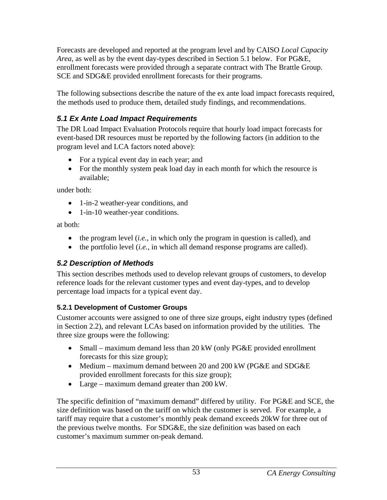Forecasts are developed and reported at the program level and by CAISO *Local Capacity Area*, as well as by the event day-types described in Section 5.1 below. For PG&E, enrollment forecasts were provided through a separate contract with The Brattle Group. SCE and SDG&E provided enrollment forecasts for their programs.

The following subsections describe the nature of the ex ante load impact forecasts required, the methods used to produce them, detailed study findings, and recommendations.

# *5.1 Ex Ante Load Impact Requirements*

The DR Load Impact Evaluation Protocols require that hourly load impact forecasts for event-based DR resources must be reported by the following factors (in addition to the program level and LCA factors noted above):

- For a typical event day in each year; and
- For the monthly system peak load day in each month for which the resource is available;

under both:

- 1-in-2 weather-year conditions, and
- 1-in-10 weather-year conditions.

at both:

- the program level (*i.e.*, in which only the program in question is called), and
- the portfolio level (*i.e.*, in which all demand response programs are called).

# *5.2 Description of Methods*

This section describes methods used to develop relevant groups of customers, to develop reference loads for the relevant customer types and event day-types, and to develop percentage load impacts for a typical event day.

# **5.2.1 Development of Customer Groups**

Customer accounts were assigned to one of three size groups, eight industry types (defined in Section 2.2), and relevant LCAs based on information provided by the utilities. The three size groups were the following:

- Small maximum demand less than 20 kW (only PG&E provided enrollment forecasts for this size group);
- Medium maximum demand between 20 and 200 kW (PG&E and SDG&E) provided enrollment forecasts for this size group);
- Large maximum demand greater than 200 kW.

The specific definition of "maximum demand" differed by utility. For PG&E and SCE, the size definition was based on the tariff on which the customer is served. For example, a tariff may require that a customer's monthly peak demand exceeds 20kW for three out of the previous twelve months. For SDG&E, the size definition was based on each customer's maximum summer on-peak demand.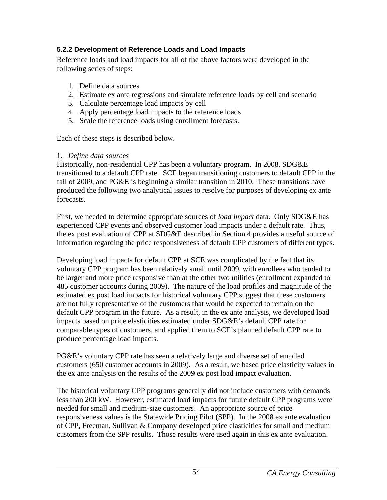## **5.2.2 Development of Reference Loads and Load Impacts**

Reference loads and load impacts for all of the above factors were developed in the following series of steps:

- 1. Define data sources
- 2. Estimate ex ante regressions and simulate reference loads by cell and scenario
- 3. Calculate percentage load impacts by cell
- 4. Apply percentage load impacts to the reference loads
- 5. Scale the reference loads using enrollment forecasts.

Each of these steps is described below.

## 1. *Define data sources*

Historically, non-residential CPP has been a voluntary program. In 2008, SDG&E transitioned to a default CPP rate. SCE began transitioning customers to default CPP in the fall of 2009, and PG&E is beginning a similar transition in 2010. These transitions have produced the following two analytical issues to resolve for purposes of developing ex ante forecasts.

First, we needed to determine appropriate sources of *load impact* data. Only SDG&E has experienced CPP events and observed customer load impacts under a default rate. Thus, the ex post evaluation of CPP at SDG&E described in Section 4 provides a useful source of information regarding the price responsiveness of default CPP customers of different types.

Developing load impacts for default CPP at SCE was complicated by the fact that its voluntary CPP program has been relatively small until 2009, with enrollees who tended to be larger and more price responsive than at the other two utilities (enrollment expanded to 485 customer accounts during 2009). The nature of the load profiles and magnitude of the estimated ex post load impacts for historical voluntary CPP suggest that these customers are not fully representative of the customers that would be expected to remain on the default CPP program in the future. As a result, in the ex ante analysis, we developed load impacts based on price elasticities estimated under SDG&E's default CPP rate for comparable types of customers, and applied them to SCE's planned default CPP rate to produce percentage load impacts.

PG&E's voluntary CPP rate has seen a relatively large and diverse set of enrolled customers (650 customer accounts in 2009). As a result, we based price elasticity values in the ex ante analysis on the results of the 2009 ex post load impact evaluation.

The historical voluntary CPP programs generally did not include customers with demands less than 200 kW. However, estimated load impacts for future default CPP programs were needed for small and medium-size customers. An appropriate source of price responsiveness values is the Statewide Pricing Pilot (SPP). In the 2008 ex ante evaluation of CPP, Freeman, Sullivan & Company developed price elasticities for small and medium customers from the SPP results. Those results were used again in this ex ante evaluation.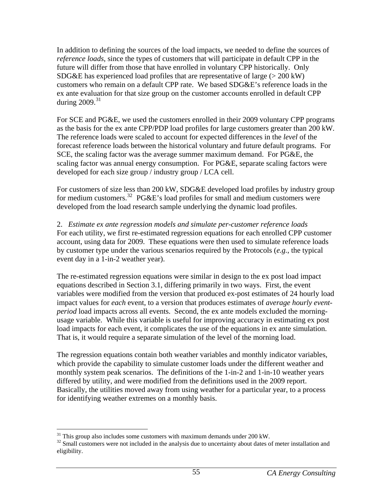In addition to defining the sources of the load impacts, we needed to define the sources of *reference loads*, since the types of customers that will participate in default CPP in the future will differ from those that have enrolled in voluntary CPP historically. Only  $SDG\&E$  has experienced load profiles that are representative of large ( $> 200 \text{ kW}$ ) customers who remain on a default CPP rate. We based SDG&E's reference loads in the ex ante evaluation for that size group on the customer accounts enrolled in default CPP during  $2009$ .<sup>[31](#page-61-0)</sup>

For SCE and PG&E, we used the customers enrolled in their 2009 voluntary CPP programs as the basis for the ex ante CPP/PDP load profiles for large customers greater than 200 kW. The reference loads were scaled to account for expected differences in the *level* of the forecast reference loads between the historical voluntary and future default programs. For SCE, the scaling factor was the average summer maximum demand. For PG&E, the scaling factor was annual energy consumption. For PG&E, separate scaling factors were developed for each size group / industry group / LCA cell.

For customers of size less than 200 kW, SDG&E developed load profiles by industry group for medium customers.<sup>[32](#page-61-1)</sup> PG&E's load profiles for small and medium customers were developed from the load research sample underlying the dynamic load profiles.

2. *Estimate ex ante regression models and simulate per-customer reference loads*  For each utility, we first re-estimated regression equations for each enrolled CPP customer account, using data for 2009. These equations were then used to simulate reference loads by customer type under the various scenarios required by the Protocols (*e.g.*, the typical event day in a 1-in-2 weather year).

The re-estimated regression equations were similar in design to the ex post load impact equations described in Section 3.1, differing primarily in two ways. First, the event variables were modified from the version that produced ex-post estimates of 24 hourly load impact values for *each* event, to a version that produces estimates of *average hourly eventperiod* load impacts across all events. Second, the ex ante models excluded the morningusage variable. While this variable is useful for improving accuracy in estimating ex post load impacts for each event, it complicates the use of the equations in ex ante simulation. That is, it would require a separate simulation of the level of the morning load.

The regression equations contain both weather variables and monthly indicator variables, which provide the capability to simulate customer loads under the different weather and monthly system peak scenarios. The definitions of the 1-in-2 and 1-in-10 weather years differed by utility, and were modified from the definitions used in the 2009 report. Basically, the utilities moved away from using weather for a particular year, to a process for identifying weather extremes on a monthly basis.

<sup>1</sup>  $31$  This group also includes some customers with maximum demands under 200 kW.

<span id="page-61-1"></span><span id="page-61-0"></span><sup>&</sup>lt;sup>32</sup> Small customers were not included in the analysis due to uncertainty about dates of meter installation and eligibility.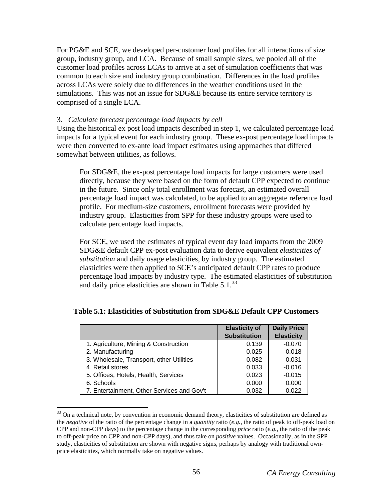For PG&E and SCE, we developed per-customer load profiles for all interactions of size group, industry group, and LCA. Because of small sample sizes, we pooled all of the customer load profiles across LCAs to arrive at a set of simulation coefficients that was common to each size and industry group combination. Differences in the load profiles across LCAs were solely due to differences in the weather conditions used in the simulations. This was not an issue for SDG&E because its entire service territory is comprised of a single LCA.

#### 3. *Calculate forecast percentage load impacts by cell*

 $\overline{a}$ 

Using the historical ex post load impacts described in step 1, we calculated percentage load impacts for a typical event for each industry group. These ex-post percentage load impacts were then converted to ex-ante load impact estimates using approaches that differed somewhat between utilities, as follows.

For SDG&E, the ex-post percentage load impacts for large customers were used directly, because they were based on the form of default CPP expected to continue in the future. Since only total enrollment was forecast, an estimated overall percentage load impact was calculated, to be applied to an aggregate reference load profile. For medium-size customers, enrollment forecasts were provided by industry group. Elasticities from SPP for these industry groups were used to calculate percentage load impacts.

For SCE, we used the estimates of typical event day load impacts from the 2009 SDG&E default CPP ex-post evaluation data to derive equivalent *elasticities of substitution* and daily usage elasticities, by industry group. The estimated elasticities were then applied to SCE's anticipated default CPP rates to produce percentage load impacts by industry type. The estimated elasticities of substitution and daily price elasticities are shown in Table  $5.1^{33}$  $5.1^{33}$  $5.1^{33}$ 

|                                            | <b>Elasticity of</b> | <b>Daily Price</b> |
|--------------------------------------------|----------------------|--------------------|
|                                            | <b>Substitution</b>  | <b>Elasticity</b>  |
| 1. Agriculture, Mining & Construction      | 0.139                | $-0.070$           |
| 2. Manufacturing                           | 0.025                | $-0.018$           |
| 3. Wholesale, Transport, other Utilities   | 0.082                | $-0.031$           |
| 4. Retail stores                           | 0.033                | $-0.016$           |
| 5. Offices, Hotels, Health, Services       | 0.023                | $-0.015$           |
| 6. Schools                                 | 0.000                | 0.000              |
| 7. Entertainment, Other Services and Gov't | 0.032                | $-0.022$           |

### **Table 5.1: Elasticities of Substitution from SDG&E Default CPP Customers**

<span id="page-62-0"></span> $33$  On a technical note, by convention in economic demand theory, elasticities of substitution are defined as the *negative* of the ratio of the percentage change in a *quantity* ratio (*e.g.*, the ratio of peak to off-peak load on CPP and non-CPP days) to the percentage change in the corresponding *price* ratio (*e.g.*, the ratio of the peak to off-peak price on CPP and non-CPP days), and thus take on *positive* values. Occasionally, as in the SPP study, elasticities of substitution are shown with negative signs, perhaps by analogy with traditional ownprice elasticities, which normally take on negative values.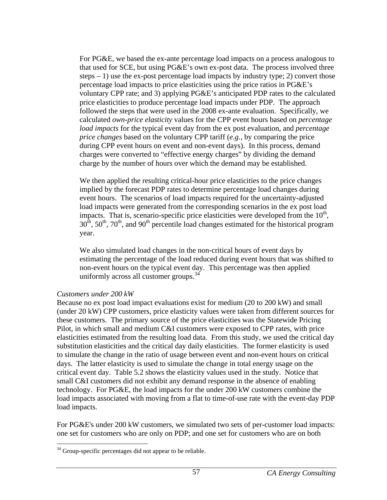For PG&E, we based the ex-ante percentage load impacts on a process analogous to that used for SCE, but using PG&E's own ex-post data. The process involved three steps  $-1$ ) use the ex-post percentage load impacts by industry type; 2) convert those percentage load impacts to price elasticities using the price ratios in PG&E's voluntary CPP rate; and 3) applying PG&E's anticipated PDP rates to the calculated price elasticities to produce percentage load impacts under PDP. The approach followed the steps that were used in the 2008 ex-ante evaluation. Specifically, we calculated *own-price elasticity* values for the CPP event hours based on *percentage load impacts* for the typical event day from the ex post evaluation, and *percentage price changes* based on the voluntary CPP tariff (*e.g.*, by comparing the price during CPP event hours on event and non-event days). In this process, demand charges were converted to "effective energy charges" by dividing the demand charge by the number of hours over which the demand may be established.

We then applied the resulting critical-hour price elasticities to the price changes implied by the forecast PDP rates to determine percentage load changes during event hours. The scenarios of load impacts required for the uncertainty-adjusted load impacts were generated from the corresponding scenarios in the ex post load impacts. That is, scenario-specific price elasticities were developed from the  $10<sup>th</sup>$ ,  $30<sup>th</sup>$ ,  $50<sup>th</sup>$ ,  $70<sup>th</sup>$ , and  $90<sup>th</sup>$  percentile load changes estimated for the historical program year.

We also simulated load changes in the non-critical hours of event days by estimating the percentage of the load reduced during event hours that was shifted to non-event hours on the typical event day. This percentage was then applied uniformly across all customer groups. $34$ 

### *Customers under 200 kW*

<u>.</u>

Because no ex post load impact evaluations exist for medium (20 to 200 kW) and small (under 20 kW) CPP customers, price elasticity values were taken from different sources for these customers. The primary source of the price elasticities was the Statewide Pricing Pilot, in which small and medium C&I customers were exposed to CPP rates, with price elasticities estimated from the resulting load data. From this study, we used the critical day substitution elasticities and the critical day daily elasticities. The former elasticity is used to simulate the change in the ratio of usage between event and non-event hours on critical days. The latter elasticity is used to simulate the change in total energy usage on the critical event day. Table 5.2 shows the elasticity values used in the study. Notice that small C&I customers did not exhibit any demand response in the absence of enabling technology. For PG&E, the load impacts for the under 200 kW customers combine the load impacts associated with moving from a flat to time-of-use rate with the event-day PDP load impacts.

For PG&E's under 200 kW customers, we simulated two sets of per-customer load impacts: one set for customers who are only on PDP; and one set for customers who are on both

<span id="page-63-0"></span><sup>&</sup>lt;sup>34</sup> Group-specific percentages did not appear to be reliable.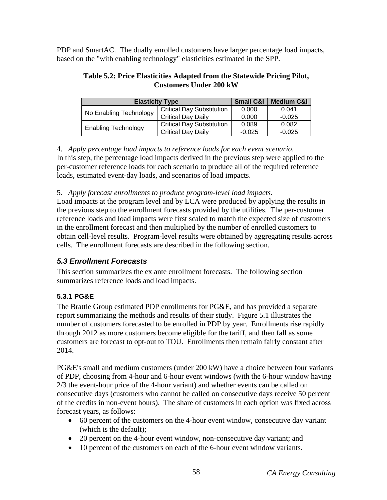PDP and SmartAC. The dually enrolled customers have larger percentage load impacts, based on the "with enabling technology" elasticities estimated in the SPP.

#### **Table 5.2: Price Elasticities Adapted from the Statewide Pricing Pilot, Customers Under 200 kW**

| <b>Elasticity Type</b>     | <b>Small C&amp;I</b>             | <b>Medium C&amp;I</b> |          |
|----------------------------|----------------------------------|-----------------------|----------|
| No Enabling Technology     | <b>Critical Day Substitution</b> | 0.000                 | 0.041    |
|                            | <b>Critical Day Daily</b>        | 0.000                 | $-0.025$ |
| <b>Enabling Technology</b> | <b>Critical Day Substitution</b> | 0.089                 | 0.082    |
|                            | <b>Critical Day Daily</b>        | $-0.025$              | $-0.025$ |

4. *Apply percentage load impacts to reference loads for each event scenario*. In this step, the percentage load impacts derived in the previous step were applied to the per-customer reference loads for each scenario to produce all of the required reference loads, estimated event-day loads, and scenarios of load impacts.

5. *Apply forecast enrollments to produce program-level load impacts*.

Load impacts at the program level and by LCA were produced by applying the results in the previous step to the enrollment forecasts provided by the utilities. The per-customer reference loads and load impacts were first scaled to match the expected size of customers in the enrollment forecast and then multiplied by the number of enrolled customers to obtain cell-level results. Program-level results were obtained by aggregating results across cells. The enrollment forecasts are described in the following section.

# *5.3 Enrollment Forecasts*

This section summarizes the ex ante enrollment forecasts. The following section summarizes reference loads and load impacts.

# **5.3.1 PG&E**

The Brattle Group estimated PDP enrollments for PG&E, and has provided a separate report summarizing the methods and results of their study. Figure 5.1 illustrates the number of customers forecasted to be enrolled in PDP by year. Enrollments rise rapidly through 2012 as more customers become eligible for the tariff, and then fall as some customers are forecast to opt-out to TOU. Enrollments then remain fairly constant after 2014.

PG&E's small and medium customers (under 200 kW) have a choice between four variants of PDP, choosing from 4-hour and 6-hour event windows (with the 6-hour window having 2/3 the event-hour price of the 4-hour variant) and whether events can be called on consecutive days (customers who cannot be called on consecutive days receive 50 percent of the credits in non-event hours). The share of customers in each option was fixed across forecast years, as follows:

- 60 percent of the customers on the 4-hour event window, consecutive day variant (which is the default);
- 20 percent on the 4-hour event window, non-consecutive day variant; and
- 10 percent of the customers on each of the 6-hour event window variants.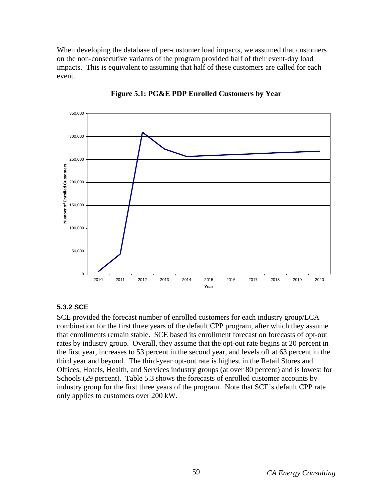When developing the database of per-customer load impacts, we assumed that customers on the non-consecutive variants of the program provided half of their event-day load impacts. This is equivalent to assuming that half of these customers are called for each event.





### **5.3.2 SCE**

SCE provided the forecast number of enrolled customers for each industry group/LCA combination for the first three years of the default CPP program, after which they assume that enrollments remain stable. SCE based its enrollment forecast on forecasts of opt-out rates by industry group. Overall, they assume that the opt-out rate begins at 20 percent in the first year, increases to 53 percent in the second year, and levels off at 63 percent in the third year and beyond. The third-year opt-out rate is highest in the Retail Stores and Offices, Hotels, Health, and Services industry groups (at over 80 percent) and is lowest for Schools (29 percent). Table 5.3 shows the forecasts of enrolled customer accounts by industry group for the first three years of the program. Note that SCE's default CPP rate only applies to customers over 200 kW.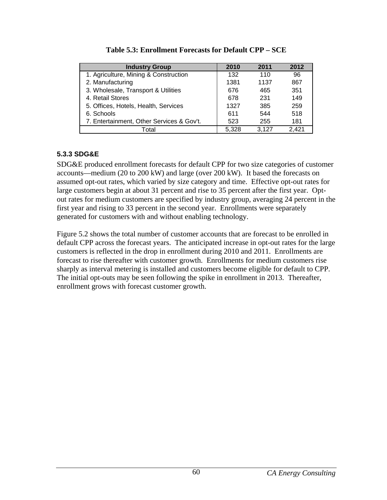| <b>Industry Group</b>                     | 2010  | 2011  | 2012  |
|-------------------------------------------|-------|-------|-------|
| 1. Agriculture, Mining & Construction     | 132   | 110   | 96    |
| 2. Manufacturing                          | 1381  | 1137  | 867   |
| 3. Wholesale, Transport & Utilities       | 676   | 465   | 351   |
| 4. Retail Stores                          | 678   | 231   | 149   |
| 5. Offices, Hotels, Health, Services      | 1327  | 385   | 259   |
| 6. Schools                                | 611   | 544   | 518   |
| 7. Entertainment, Other Services & Gov't. | 523   | 255   | 181   |
| Total                                     | 5,328 | 3.127 | 2,421 |

|  |  | Table 5.3: Enrollment Forecasts for Default CPP – SCE |  |  |
|--|--|-------------------------------------------------------|--|--|
|--|--|-------------------------------------------------------|--|--|

### **5.3.3 SDG&E**

SDG&E produced enrollment forecasts for default CPP for two size categories of customer accounts—medium (20 to 200 kW) and large (over 200 kW). It based the forecasts on assumed opt-out rates, which varied by size category and time. Effective opt-out rates for large customers begin at about 31 percent and rise to 35 percent after the first year. Optout rates for medium customers are specified by industry group, averaging 24 percent in the first year and rising to 33 percent in the second year. Enrollments were separately generated for customers with and without enabling technology.

Figure 5.2 shows the total number of customer accounts that are forecast to be enrolled in default CPP across the forecast years. The anticipated increase in opt-out rates for the large customers is reflected in the drop in enrollment during 2010 and 2011. Enrollments are forecast to rise thereafter with customer growth. Enrollments for medium customers rise sharply as interval metering is installed and customers become eligible for default to CPP. The initial opt-outs may be seen following the spike in enrollment in 2013. Thereafter, enrollment grows with forecast customer growth.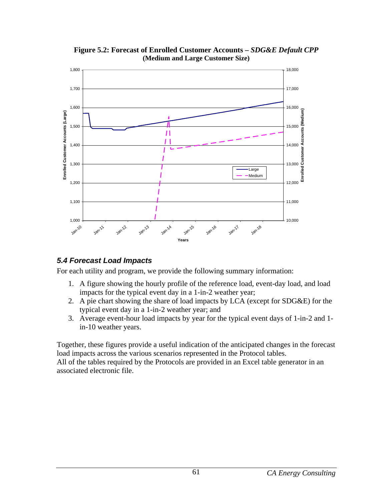

**Figure 5.2: Forecast of Enrolled Customer Accounts –** *SDG&E Default CPP*  **(Medium and Large Customer Size)**

# *5.4 Forecast Load Impacts*

For each utility and program, we provide the following summary information:

- 1. A figure showing the hourly profile of the reference load, event-day load, and load impacts for the typical event day in a 1-in-2 weather year;
- 2. A pie chart showing the share of load impacts by LCA (except for SDG&E) for the typical event day in a 1-in-2 weather year; and
- 3. Average event-hour load impacts by year for the typical event days of 1-in-2 and 1 in-10 weather years.

Together, these figures provide a useful indication of the anticipated changes in the forecast load impacts across the various scenarios represented in the Protocol tables.

All of the tables required by the Protocols are provided in an Excel table generator in an associated electronic file.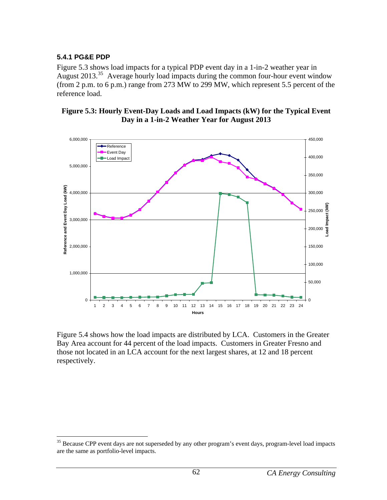### **5.4.1 PG&E PDP**

1

Figure 5.3 shows load impacts for a typical PDP event day in a 1-in-2 weather year in August 2013.<sup>[35](#page-68-0)</sup> Average hourly load impacts during the common four-hour event window (from 2 p.m. to 6 p.m.) range from 273 MW to 299 MW, which represent 5.5 percent of the reference load.





Figure 5.4 shows how the load impacts are distributed by LCA. Customers in the Greater Bay Area account for 44 percent of the load impacts. Customers in Greater Fresno and those not located in an LCA account for the next largest shares, at 12 and 18 percent respectively.

<span id="page-68-0"></span> $35$  Because CPP event days are not superseded by any other program's event days, program-level load impacts are the same as portfolio-level impacts.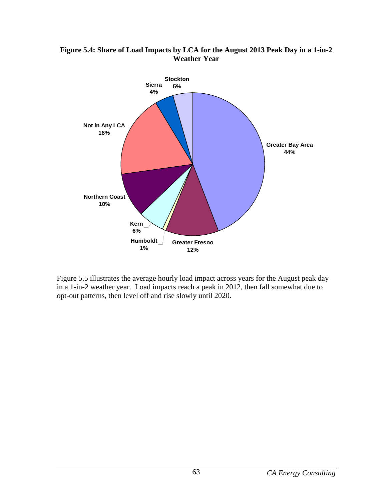#### **Figure 5.4: Share of Load Impacts by LCA for the August 2013 Peak Day in a 1-in-2 Weather Year**



Figure 5.5 illustrates the average hourly load impact across years for the August peak day in a 1-in-2 weather year. Load impacts reach a peak in 2012, then fall somewhat due to opt-out patterns, then level off and rise slowly until 2020.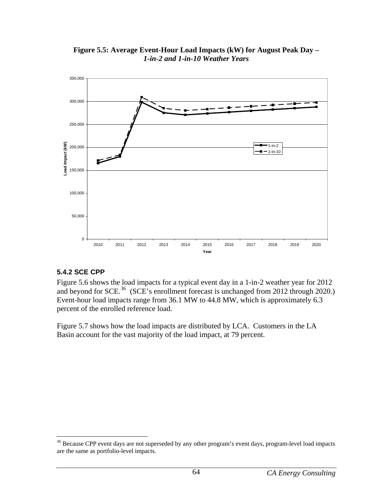

**Figure 5.5: Average Event-Hour Load Impacts (kW) for August Peak Day –**  *1-in-2 and 1-in-10 Weather Years*

## **5.4.2 SCE CPP**

1

Figure 5.6 shows the load impacts for a typical event day in a 1-in-2 weather year for 2012 and beyond for SCE.<sup>[36](#page-70-0)</sup> (SCE's enrollment forecast is unchanged from 2012 through 2020.) Event-hour load impacts range from 36.1 MW to 44.8 MW, which is approximately 6.3 percent of the enrolled reference load.

Figure 5.7 shows how the load impacts are distributed by LCA. Customers in the LA Basin account for the vast majority of the load impact, at 79 percent.

<span id="page-70-0"></span> $36$  Because CPP event days are not superseded by any other program's event days, program-level load impacts are the same as portfolio-level impacts.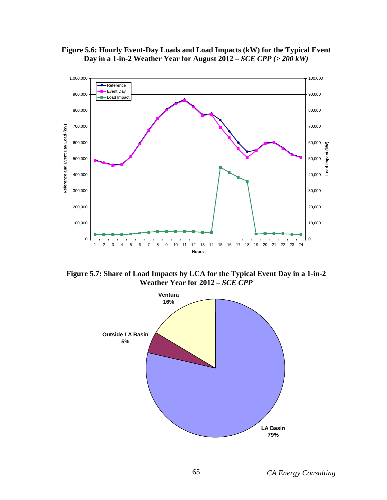



**Figure 5.7: Share of Load Impacts by LCA for the Typical Event Day in a 1-in-2 Weather Year for 2012 –** *SCE CPP*

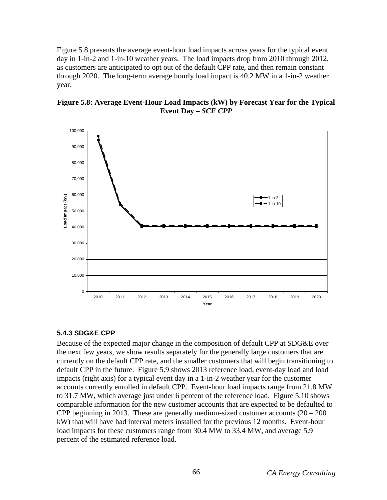Figure 5.8 presents the average event-hour load impacts across years for the typical event day in 1-in-2 and 1-in-10 weather years. The load impacts drop from 2010 through 2012, as customers are anticipated to opt out of the default CPP rate, and then remain constant through 2020. The long-term average hourly load impact is 40.2 MW in a 1-in-2 weather year.



**Figure 5.8: Average Event-Hour Load Impacts (kW) by Forecast Year for the Typical Event Day –** *SCE CPP*

## **5.4.3 SDG&E CPP**

Because of the expected major change in the composition of default CPP at SDG&E over the next few years, we show results separately for the generally large customers that are currently on the default CPP rate, and the smaller customers that will begin transitioning to default CPP in the future. Figure 5.9 shows 2013 reference load, event-day load and load impacts (right axis) for a typical event day in a 1-in-2 weather year for the customer accounts currently enrolled in default CPP. Event-hour load impacts range from 21.8 MW to 31.7 MW, which average just under 6 percent of the reference load. Figure 5.10 shows comparable information for the new customer accounts that are expected to be defaulted to CPP beginning in 2013. These are generally medium-sized customer accounts  $(20 - 200)$ kW) that will have had interval meters installed for the previous 12 months. Event-hour load impacts for these customers range from 30.4 MW to 33.4 MW, and average 5.9 percent of the estimated reference load.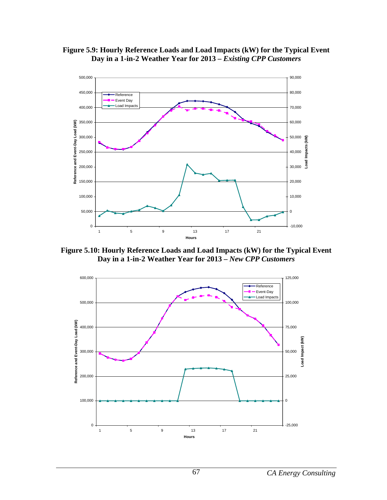



**Figure 5.10: Hourly Reference Loads and Load Impacts (kW) for the Typical Event Day in a 1-in-2 Weather Year for 2013 –** *New CPP Customers*

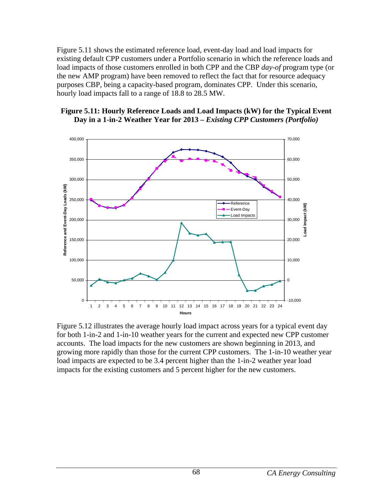Figure 5.11 shows the estimated reference load, event-day load and load impacts for existing default CPP customers under a Portfolio scenario in which the reference loads and load impacts of those customers enrolled in both CPP and the CBP *day-of* program type (or the new AMP program) have been removed to reflect the fact that for resource adequacy purposes CBP, being a capacity-based program, dominates CPP. Under this scenario, hourly load impacts fall to a range of 18.8 to 28.5 MW.

## **Figure 5.11: Hourly Reference Loads and Load Impacts (kW) for the Typical Event Day in a 1-in-2 Weather Year for 2013 –** *Existing CPP Customers (Portfolio)*



Figure 5.12 illustrates the average hourly load impact across years for a typical event day for both 1-in-2 and 1-in-10 weather years for the current and expected new CPP customer accounts. The load impacts for the new customers are shown beginning in 2013, and growing more rapidly than those for the current CPP customers. The 1-in-10 weather year load impacts are expected to be 3.4 percent higher than the 1-in-2 weather year load impacts for the existing customers and 5 percent higher for the new customers.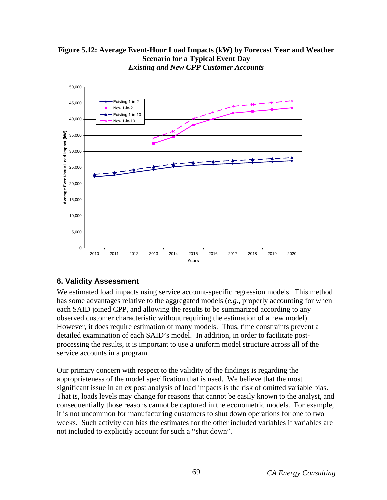



## **6. Validity Assessment**

We estimated load impacts using service account-specific regression models. This method has some advantages relative to the aggregated models (*e.g*., properly accounting for when each SAID joined CPP, and allowing the results to be summarized according to any observed customer characteristic without requiring the estimation of a new model). However, it does require estimation of many models. Thus, time constraints prevent a detailed examination of each SAID's model. In addition, in order to facilitate postprocessing the results, it is important to use a uniform model structure across all of the service accounts in a program.

Our primary concern with respect to the validity of the findings is regarding the appropriateness of the model specification that is used. We believe that the most significant issue in an ex post analysis of load impacts is the risk of omitted variable bias. That is, loads levels may change for reasons that cannot be easily known to the analyst, and consequentially those reasons cannot be captured in the econometric models. For example, it is not uncommon for manufacturing customers to shut down operations for one to two weeks. Such activity can bias the estimates for the other included variables if variables are not included to explicitly account for such a "shut down".